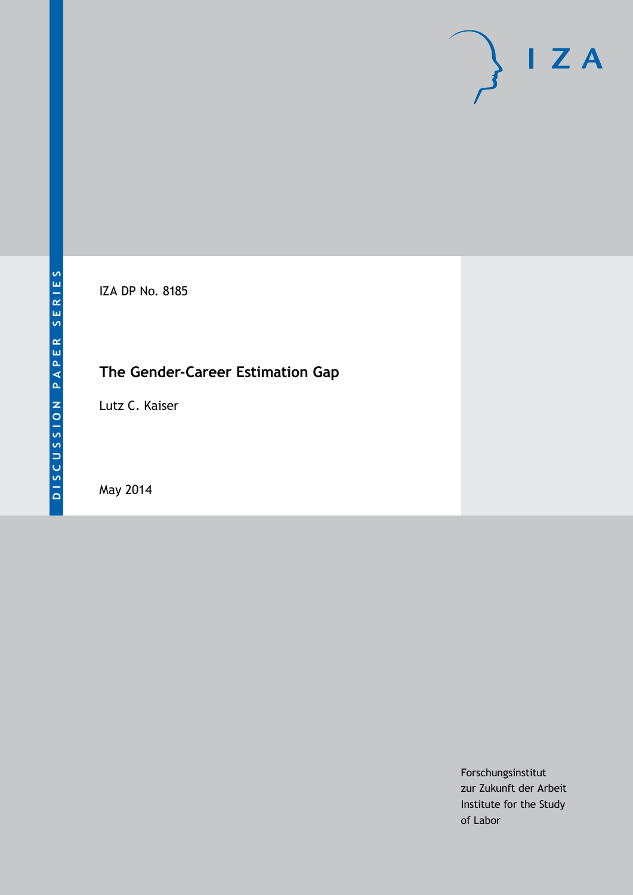

IZA DP No. 8185

# **The Gender-Career Estimation Gap**

Lutz C. Kaiser

May 2014

Forschungsinstitut zur Zukunft der Arbeit Institute for the Study of Labor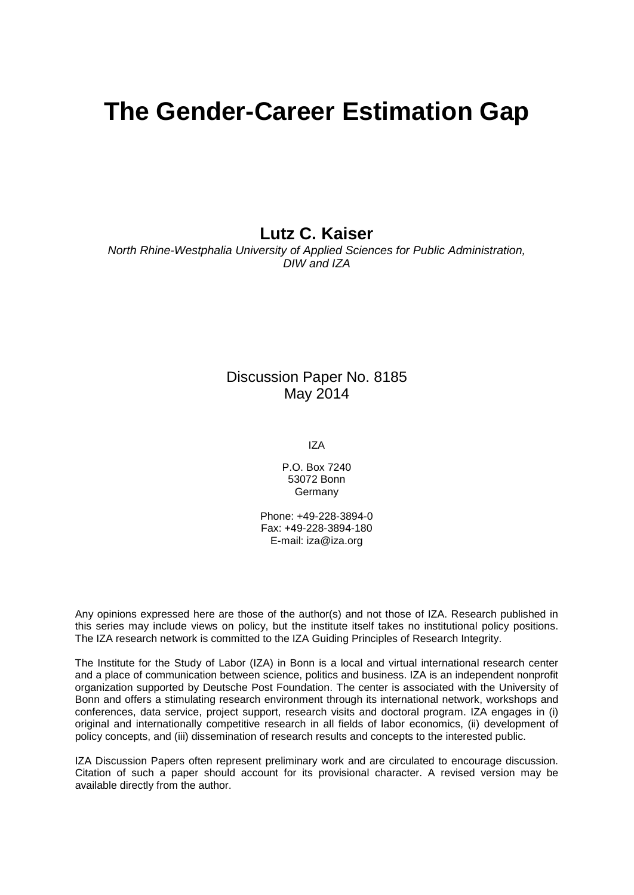# **The Gender-Career Estimation Gap**

**Lutz C. Kaiser**

*North Rhine-Westphalia University of Applied Sciences for Public Administration, DIW and IZA*

# Discussion Paper No. 8185 May 2014

IZA

P.O. Box 7240 53072 Bonn Germany

Phone: +49-228-3894-0 Fax: +49-228-3894-180 E-mail: [iza@iza.org](mailto:iza@iza.org)

Any opinions expressed here are those of the author(s) and not those of IZA. Research published in this series may include views on policy, but the institute itself takes no institutional policy positions. The IZA research network is committed to the IZA Guiding Principles of Research Integrity.

The Institute for the Study of Labor (IZA) in Bonn is a local and virtual international research center and a place of communication between science, politics and business. IZA is an independent nonprofit organization supported by Deutsche Post Foundation. The center is associated with the University of Bonn and offers a stimulating research environment through its international network, workshops and conferences, data service, project support, research visits and doctoral program. IZA engages in (i) original and internationally competitive research in all fields of labor economics, (ii) development of policy concepts, and (iii) dissemination of research results and concepts to the interested public.

IZA Discussion Papers often represent preliminary work and are circulated to encourage discussion. Citation of such a paper should account for its provisional character. A revised version may be available directly from the author.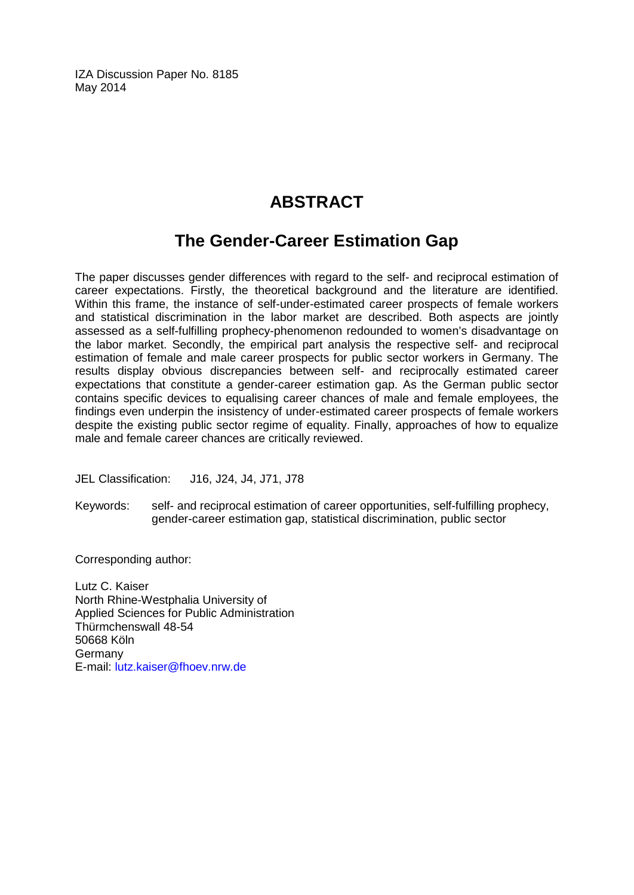IZA Discussion Paper No. 8185 May 2014

# **ABSTRACT**

# **The Gender-Career Estimation Gap**

The paper discusses gender differences with regard to the self- and reciprocal estimation of career expectations. Firstly, the theoretical background and the literature are identified. Within this frame, the instance of self-under-estimated career prospects of female workers and statistical discrimination in the labor market are described. Both aspects are jointly assessed as a self-fulfilling prophecy-phenomenon redounded to women's disadvantage on the labor market. Secondly, the empirical part analysis the respective self- and reciprocal estimation of female and male career prospects for public sector workers in Germany. The results display obvious discrepancies between self- and reciprocally estimated career expectations that constitute a gender-career estimation gap. As the German public sector contains specific devices to equalising career chances of male and female employees, the findings even underpin the insistency of under-estimated career prospects of female workers despite the existing public sector regime of equality. Finally, approaches of how to equalize male and female career chances are critically reviewed.

JEL Classification: J16, J24, J4, J71, J78

Keywords: self- and reciprocal estimation of career opportunities, self-fulfilling prophecy, gender-career estimation gap, statistical discrimination, public sector

Corresponding author:

Lutz C. Kaiser North Rhine-Westphalia University of Applied Sciences for Public Administration Thürmchenswall 48-54 50668 Köln Germany E-mail: [lutz.kaiser@fhoev.nrw.de](mailto:lutz.kaiser@fhoev.nrw.de)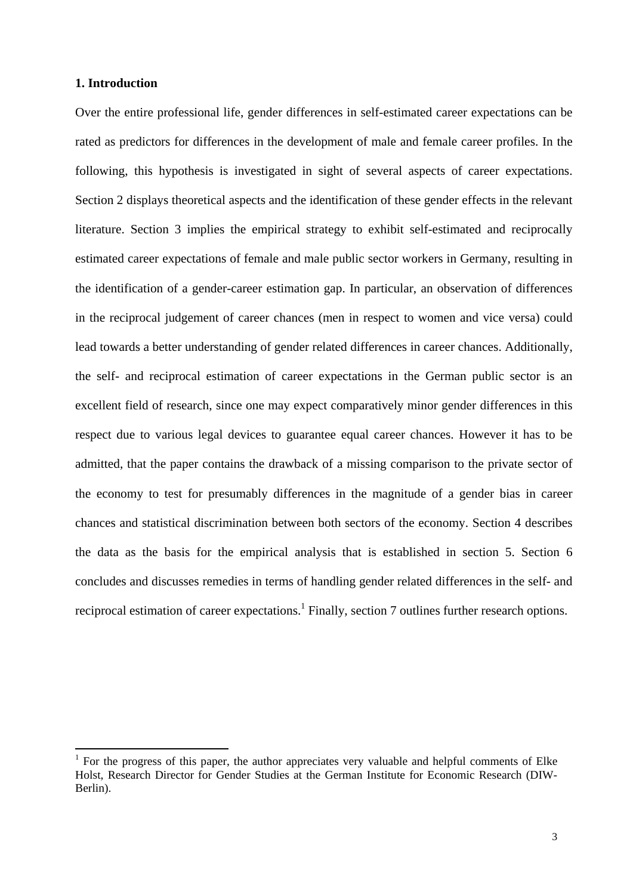#### **1. Introduction**

Over the entire professional life, gender differences in self-estimated career expectations can be rated as predictors for differences in the development of male and female career profiles. In the following, this hypothesis is investigated in sight of several aspects of career expectations. Section 2 displays theoretical aspects and the identification of these gender effects in the relevant literature. Section 3 implies the empirical strategy to exhibit self-estimated and reciprocally estimated career expectations of female and male public sector workers in Germany, resulting in the identification of a gender-career estimation gap. In particular, an observation of differences in the reciprocal judgement of career chances (men in respect to women and vice versa) could lead towards a better understanding of gender related differences in career chances. Additionally, the self- and reciprocal estimation of career expectations in the German public sector is an excellent field of research, since one may expect comparatively minor gender differences in this respect due to various legal devices to guarantee equal career chances. However it has to be admitted, that the paper contains the drawback of a missing comparison to the private sector of the economy to test for presumably differences in the magnitude of a gender bias in career chances and statistical discrimination between both sectors of the economy. Section 4 describes the data as the basis for the empirical analysis that is established in section 5. Section 6 concludes and discusses remedies in terms of handling gender related differences in the self- and reciprocal estimation of career expectations.<sup>1</sup> Finally, section 7 outlines further research options.

<sup>&</sup>lt;sup>1</sup> For the progress of this paper, the author appreciates very valuable and helpful comments of Elke Holst, Research Director for Gender Studies at the German Institute for Economic Research (DIW-Berlin).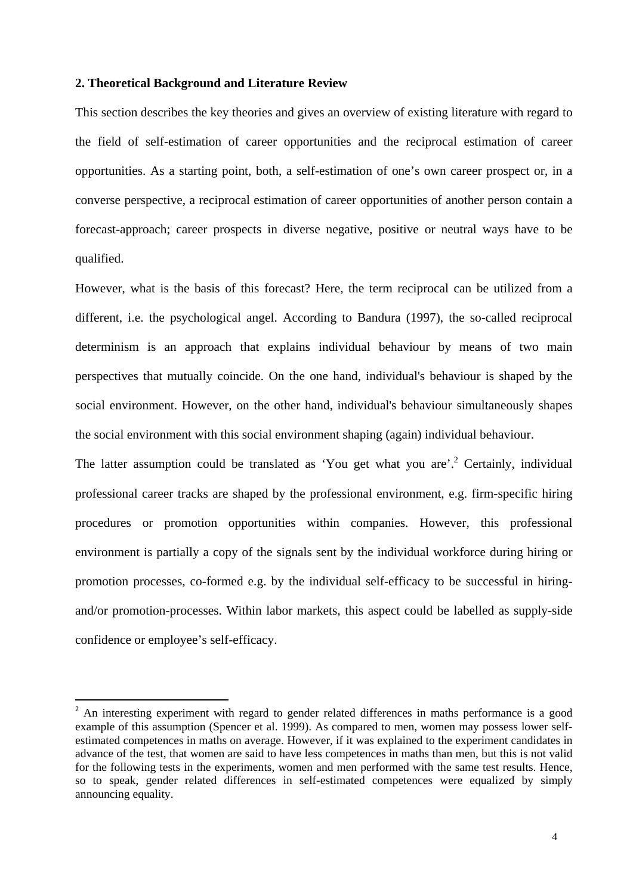#### **2. Theoretical Background and Literature Review**

This section describes the key theories and gives an overview of existing literature with regard to the field of self-estimation of career opportunities and the reciprocal estimation of career opportunities. As a starting point, both, a self-estimation of one's own career prospect or, in a converse perspective, a reciprocal estimation of career opportunities of another person contain a forecast-approach; career prospects in diverse negative, positive or neutral ways have to be qualified.

However, what is the basis of this forecast? Here, the term reciprocal can be utilized from a different, i.e. the psychological angel. According to Bandura (1997), the so-called reciprocal determinism is an approach that explains individual behaviour by means of two main perspectives that mutually coincide. On the one hand, individual's behaviour is shaped by the social environment. However, on the other hand, individual's behaviour simultaneously shapes the social environment with this social environment shaping (again) individual behaviour.

The latter assumption could be translated as 'You get what you are'.<sup>2</sup> Certainly, individual professional career tracks are shaped by the professional environment, e.g. firm-specific hiring procedures or promotion opportunities within companies. However, this professional environment is partially a copy of the signals sent by the individual workforce during hiring or promotion processes, co-formed e.g. by the individual self-efficacy to be successful in hiringand/or promotion-processes. Within labor markets, this aspect could be labelled as supply-side confidence or employee's self-efficacy.

<sup>&</sup>lt;sup>2</sup> An interesting experiment with regard to gender related differences in maths performance is a good example of this assumption (Spencer et al. 1999). As compared to men, women may possess lower selfestimated competences in maths on average. However, if it was explained to the experiment candidates in advance of the test, that women are said to have less competences in maths than men, but this is not valid for the following tests in the experiments, women and men performed with the same test results. Hence, so to speak, gender related differences in self-estimated competences were equalized by simply announcing equality.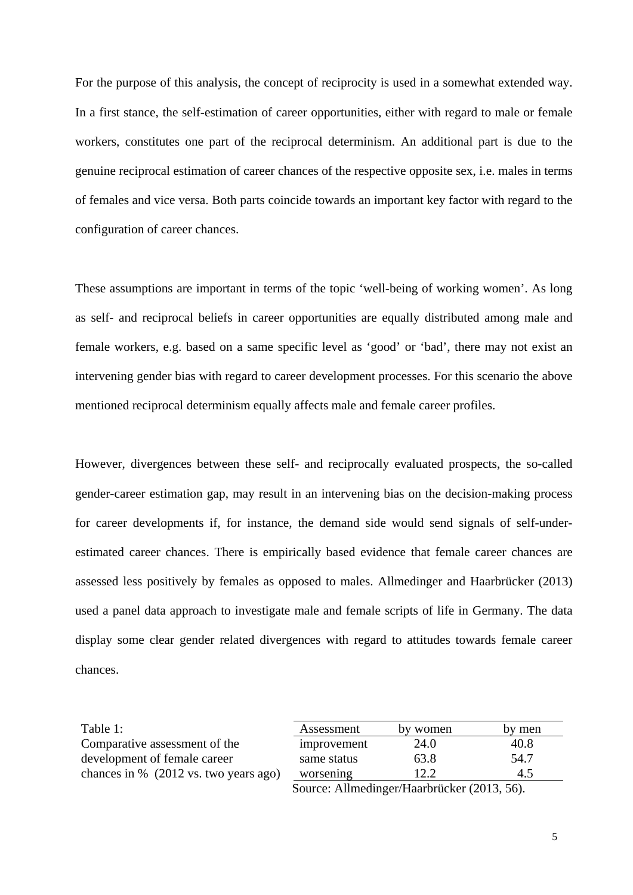For the purpose of this analysis, the concept of reciprocity is used in a somewhat extended way. In a first stance, the self-estimation of career opportunities, either with regard to male or female workers, constitutes one part of the reciprocal determinism. An additional part is due to the genuine reciprocal estimation of career chances of the respective opposite sex, i.e. males in terms of females and vice versa. Both parts coincide towards an important key factor with regard to the configuration of career chances.

These assumptions are important in terms of the topic 'well-being of working women'. As long as self- and reciprocal beliefs in career opportunities are equally distributed among male and female workers, e.g. based on a same specific level as 'good' or 'bad', there may not exist an intervening gender bias with regard to career development processes. For this scenario the above mentioned reciprocal determinism equally affects male and female career profiles.

However, divergences between these self- and reciprocally evaluated prospects, the so-called gender-career estimation gap, may result in an intervening bias on the decision-making process for career developments if, for instance, the demand side would send signals of self-underestimated career chances. There is empirically based evidence that female career chances are assessed less positively by females as opposed to males. Allmedinger and Haarbrücker (2013) used a panel data approach to investigate male and female scripts of life in Germany. The data display some clear gender related divergences with regard to attitudes towards female career chances.

| Table 1:                                 | Assessment  | by women                                          | by men |
|------------------------------------------|-------------|---------------------------------------------------|--------|
| Comparative assessment of the            | improvement | 24.0                                              | 40.8   |
| development of female career             | same status | 63.8                                              | 54.7   |
| chances in $\%$ (2012 vs. two years ago) | worsening   | 12.2                                              | 4.5    |
|                                          |             | $Souroo: Allmodin \alphar/Hoorhriiekor (2012-56)$ |        |

Source: Allmedinger/Haarbrücker (2013, 56).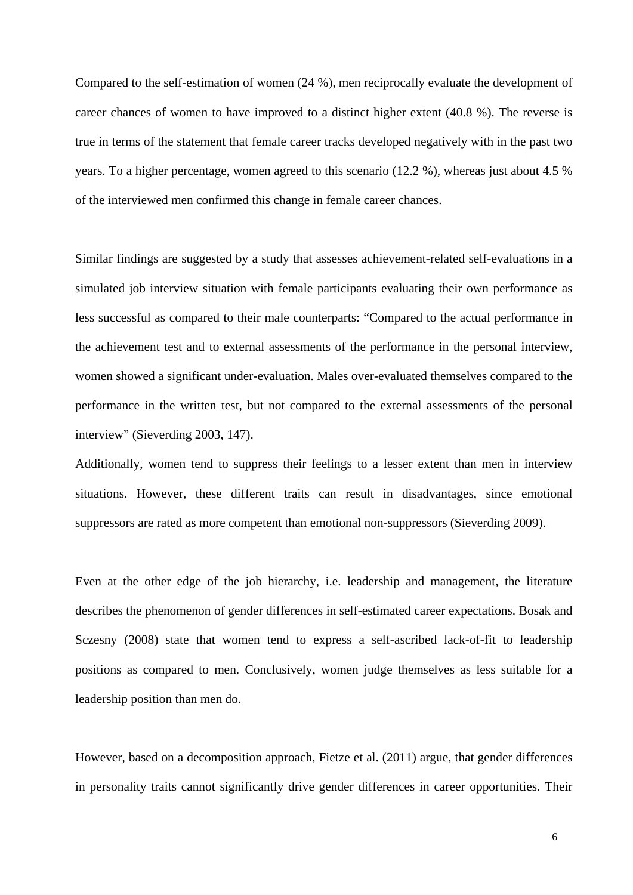Compared to the self-estimation of women (24 %), men reciprocally evaluate the development of career chances of women to have improved to a distinct higher extent (40.8 %). The reverse is true in terms of the statement that female career tracks developed negatively with in the past two years. To a higher percentage, women agreed to this scenario (12.2 %), whereas just about 4.5 % of the interviewed men confirmed this change in female career chances.

Similar findings are suggested by a study that assesses achievement-related self-evaluations in a simulated job interview situation with female participants evaluating their own performance as less successful as compared to their male counterparts: "Compared to the actual performance in the achievement test and to external assessments of the performance in the personal interview, women showed a significant under-evaluation. Males over-evaluated themselves compared to the performance in the written test, but not compared to the external assessments of the personal interview" (Sieverding 2003, 147).

Additionally, women tend to suppress their feelings to a lesser extent than men in interview situations. However, these different traits can result in disadvantages, since emotional suppressors are rated as more competent than emotional non-suppressors (Sieverding 2009).

Even at the other edge of the job hierarchy, i.e. leadership and management, the literature describes the phenomenon of gender differences in self-estimated career expectations. Bosak and Sczesny (2008) state that women tend to express a self-ascribed lack-of-fit to leadership positions as compared to men. Conclusively, women judge themselves as less suitable for a leadership position than men do.

However, based on a decomposition approach, Fietze et al. (2011) argue, that gender differences in personality traits cannot significantly drive gender differences in career opportunities. Their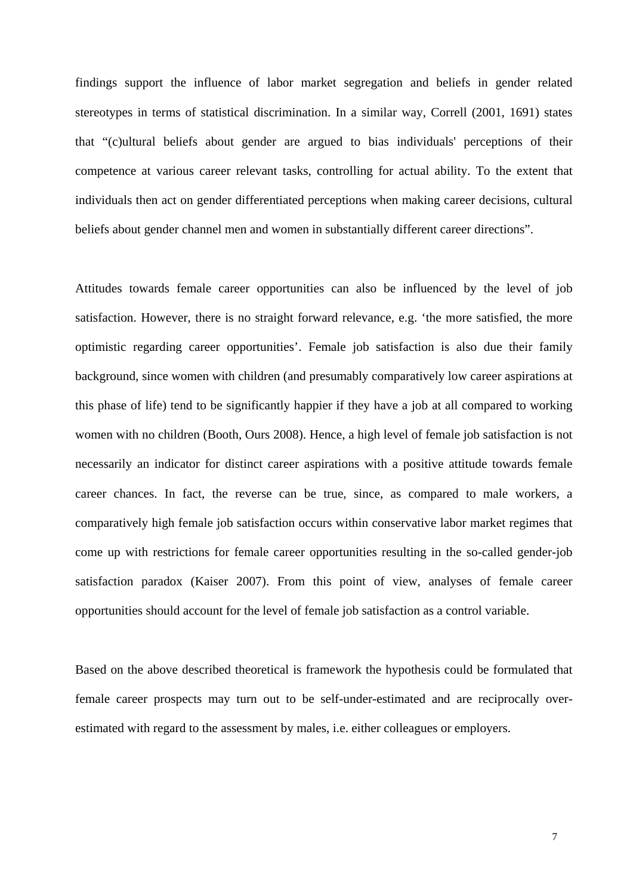findings support the influence of labor market segregation and beliefs in gender related stereotypes in terms of statistical discrimination. In a similar way, Correll (2001, 1691) states that "(c)ultural beliefs about gender are argued to bias individuals' perceptions of their competence at various career relevant tasks, controlling for actual ability. To the extent that individuals then act on gender differentiated perceptions when making career decisions, cultural beliefs about gender channel men and women in substantially different career directions".

Attitudes towards female career opportunities can also be influenced by the level of job satisfaction. However, there is no straight forward relevance, e.g. 'the more satisfied, the more optimistic regarding career opportunities'. Female job satisfaction is also due their family background, since women with children (and presumably comparatively low career aspirations at this phase of life) tend to be significantly happier if they have a job at all compared to working women with no children (Booth, Ours 2008). Hence, a high level of female job satisfaction is not necessarily an indicator for distinct career aspirations with a positive attitude towards female career chances. In fact, the reverse can be true, since, as compared to male workers, a comparatively high female job satisfaction occurs within conservative labor market regimes that come up with restrictions for female career opportunities resulting in the so-called gender-job satisfaction paradox (Kaiser 2007). From this point of view, analyses of female career opportunities should account for the level of female job satisfaction as a control variable.

Based on the above described theoretical is framework the hypothesis could be formulated that female career prospects may turn out to be self-under-estimated and are reciprocally overestimated with regard to the assessment by males, i.e. either colleagues or employers.

7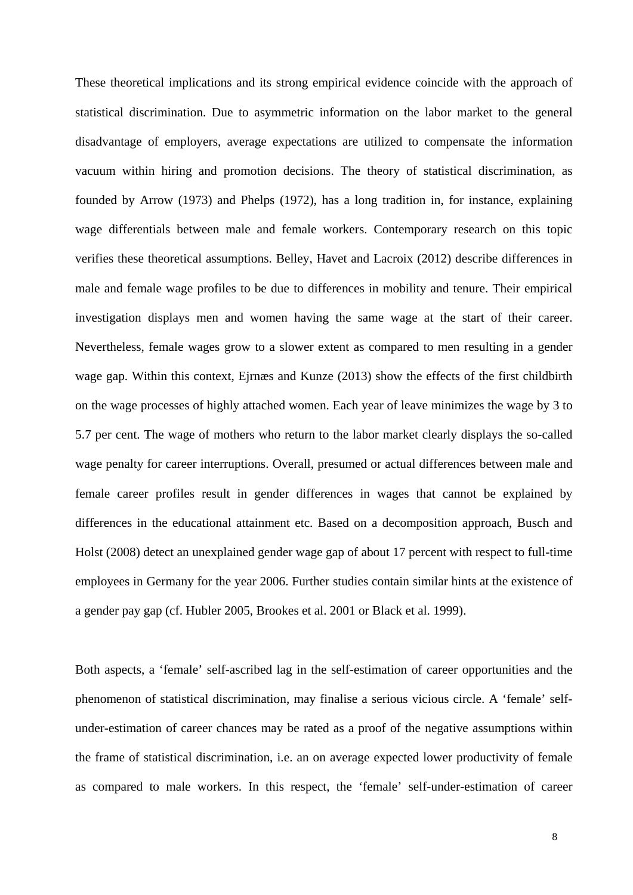These theoretical implications and its strong empirical evidence coincide with the approach of statistical discrimination. Due to asymmetric information on the labor market to the general disadvantage of employers, average expectations are utilized to compensate the information vacuum within hiring and promotion decisions. The theory of statistical discrimination, as founded by Arrow (1973) and Phelps (1972), has a long tradition in, for instance, explaining wage differentials between male and female workers. Contemporary research on this topic verifies these theoretical assumptions. Belley, Havet and Lacroix (2012) describe differences in male and female wage profiles to be due to differences in mobility and tenure. Their empirical investigation displays men and women having the same wage at the start of their career. Nevertheless, female wages grow to a slower extent as compared to men resulting in a gender wage gap. Within this context, Ejrnæs and Kunze (2013) show the effects of the first childbirth on the wage processes of highly attached women. Each year of leave minimizes the wage by 3 to 5.7 per cent. The wage of mothers who return to the labor market clearly displays the so-called wage penalty for career interruptions. Overall, presumed or actual differences between male and female career profiles result in gender differences in wages that cannot be explained by differences in the educational attainment etc. Based on a decomposition approach, Busch and Holst (2008) detect an unexplained gender wage gap of about 17 percent with respect to full-time employees in Germany for the year 2006. Further studies contain similar hints at the existence of a gender pay gap (cf. Hubler 2005, Brookes et al. 2001 or Black et al. 1999).

Both aspects, a 'female' self-ascribed lag in the self-estimation of career opportunities and the phenomenon of statistical discrimination, may finalise a serious vicious circle. A 'female' selfunder-estimation of career chances may be rated as a proof of the negative assumptions within the frame of statistical discrimination, i.e. an on average expected lower productivity of female as compared to male workers. In this respect, the 'female' self-under-estimation of career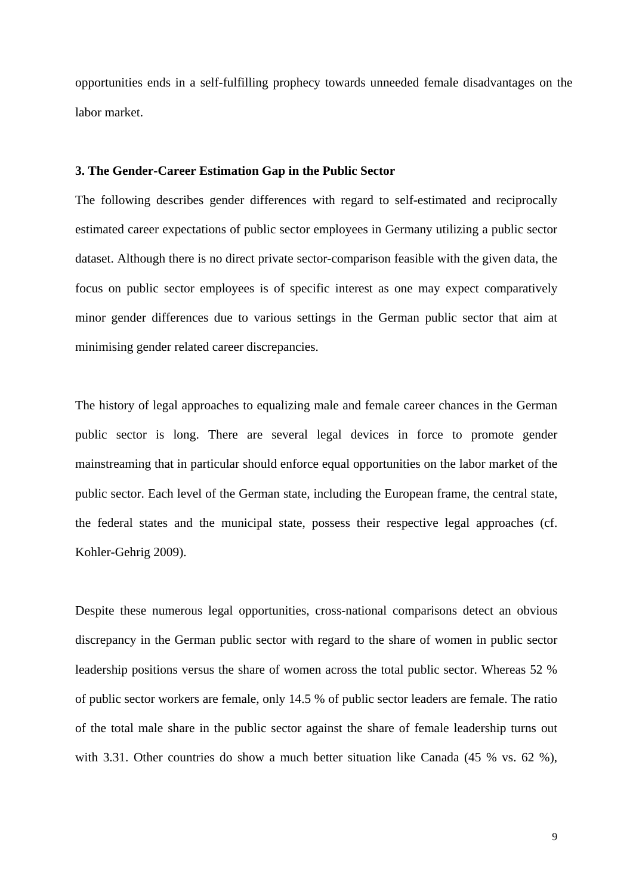opportunities ends in a self-fulfilling prophecy towards unneeded female disadvantages on the labor market.

#### **3. The Gender-Career Estimation Gap in the Public Sector**

The following describes gender differences with regard to self-estimated and reciprocally estimated career expectations of public sector employees in Germany utilizing a public sector dataset. Although there is no direct private sector-comparison feasible with the given data, the focus on public sector employees is of specific interest as one may expect comparatively minor gender differences due to various settings in the German public sector that aim at minimising gender related career discrepancies.

The history of legal approaches to equalizing male and female career chances in the German public sector is long. There are several legal devices in force to promote gender mainstreaming that in particular should enforce equal opportunities on the labor market of the public sector. Each level of the German state, including the European frame, the central state, the federal states and the municipal state, possess their respective legal approaches (cf. Kohler-Gehrig 2009).

Despite these numerous legal opportunities, cross-national comparisons detect an obvious discrepancy in the German public sector with regard to the share of women in public sector leadership positions versus the share of women across the total public sector. Whereas 52 % of public sector workers are female, only 14.5 % of public sector leaders are female. The ratio of the total male share in the public sector against the share of female leadership turns out with 3.31. Other countries do show a much better situation like Canada (45 % vs. 62 %),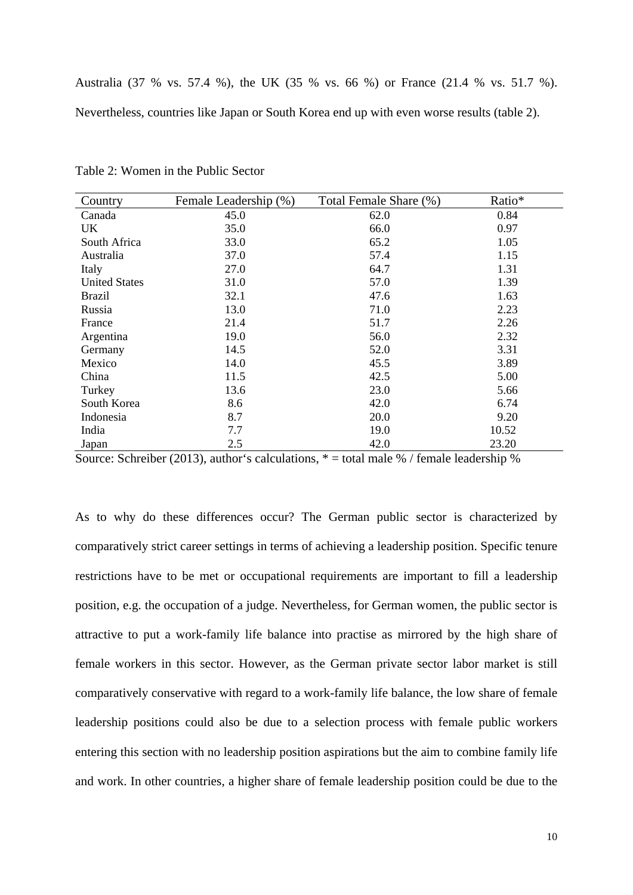Australia (37 % vs. 57.4 %), the UK (35 % vs. 66 %) or France (21.4 % vs. 51.7 %).

Nevertheless, countries like Japan or South Korea end up with even worse results (table 2).

| Country              | Female Leadership (%) | Total Female Share (%) | Ratio* |
|----------------------|-----------------------|------------------------|--------|
| Canada               | 45.0                  | 62.0                   | 0.84   |
| UK                   | 35.0                  | 66.0                   | 0.97   |
| South Africa         | 33.0                  | 65.2                   | 1.05   |
| Australia            | 37.0                  | 57.4                   | 1.15   |
| Italy                | 27.0                  | 64.7                   | 1.31   |
| <b>United States</b> | 31.0                  | 57.0                   | 1.39   |
| Brazil               | 32.1                  | 47.6                   | 1.63   |
| Russia               | 13.0                  | 71.0                   | 2.23   |
| France               | 21.4                  | 51.7                   | 2.26   |
| Argentina            | 19.0                  | 56.0                   | 2.32   |
| Germany              | 14.5                  | 52.0                   | 3.31   |
| Mexico               | 14.0                  | 45.5                   | 3.89   |
| China                | 11.5                  | 42.5                   | 5.00   |
| Turkey               | 13.6                  | 23.0                   | 5.66   |
| South Korea          | 8.6                   | 42.0                   | 6.74   |
| Indonesia            | 8.7                   | 20.0                   | 9.20   |
| India                | 7.7                   | 19.0                   | 10.52  |
| Japan                | 2.5                   | 42.0                   | 23.20  |

Table 2: Women in the Public Sector

Source: Schreiber (2013), author's calculations,  $* =$  total male % / female leadership %

As to why do these differences occur? The German public sector is characterized by comparatively strict career settings in terms of achieving a leadership position. Specific tenure restrictions have to be met or occupational requirements are important to fill a leadership position, e.g. the occupation of a judge. Nevertheless, for German women, the public sector is attractive to put a work-family life balance into practise as mirrored by the high share of female workers in this sector. However, as the German private sector labor market is still comparatively conservative with regard to a work-family life balance, the low share of female leadership positions could also be due to a selection process with female public workers entering this section with no leadership position aspirations but the aim to combine family life and work. In other countries, a higher share of female leadership position could be due to the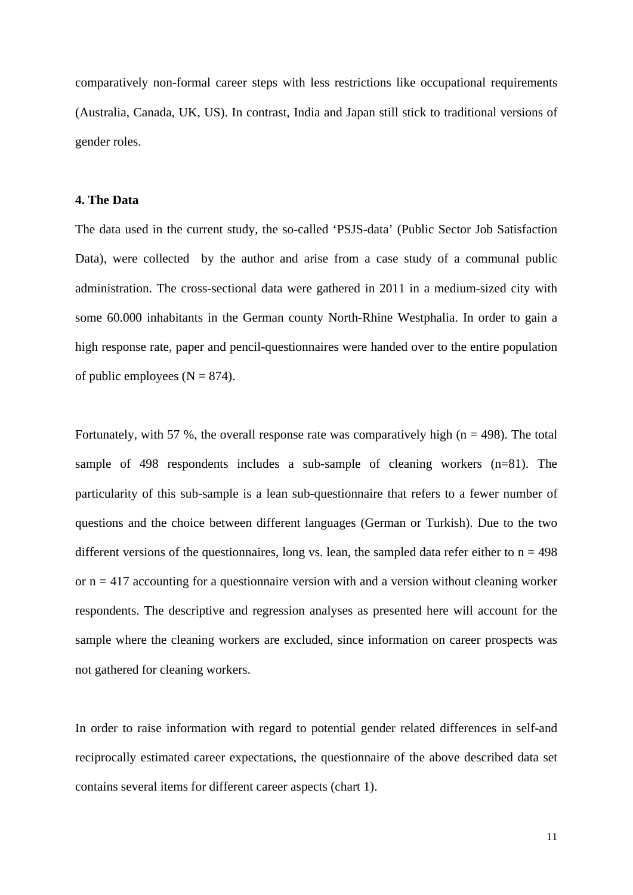comparatively non-formal career steps with less restrictions like occupational requirements (Australia, Canada, UK, US). In contrast, India and Japan still stick to traditional versions of gender roles.

#### **4. The Data**

The data used in the current study, the so-called 'PSJS-data' (Public Sector Job Satisfaction Data), were collected by the author and arise from a case study of a communal public administration. The cross-sectional data were gathered in 2011 in a medium-sized city with some 60.000 inhabitants in the German county North-Rhine Westphalia. In order to gain a high response rate, paper and pencil-questionnaires were handed over to the entire population of public employees  $(N = 874)$ .

Fortunately, with 57 %, the overall response rate was comparatively high ( $n = 498$ ). The total sample of 498 respondents includes a sub-sample of cleaning workers (n=81). The particularity of this sub-sample is a lean sub-questionnaire that refers to a fewer number of questions and the choice between different languages (German or Turkish). Due to the two different versions of the questionnaires, long vs. lean, the sampled data refer either to  $n = 498$ or  $n = 417$  accounting for a questionnaire version with and a version without cleaning worker respondents. The descriptive and regression analyses as presented here will account for the sample where the cleaning workers are excluded, since information on career prospects was not gathered for cleaning workers.

In order to raise information with regard to potential gender related differences in self-and reciprocally estimated career expectations, the questionnaire of the above described data set contains several items for different career aspects (chart 1).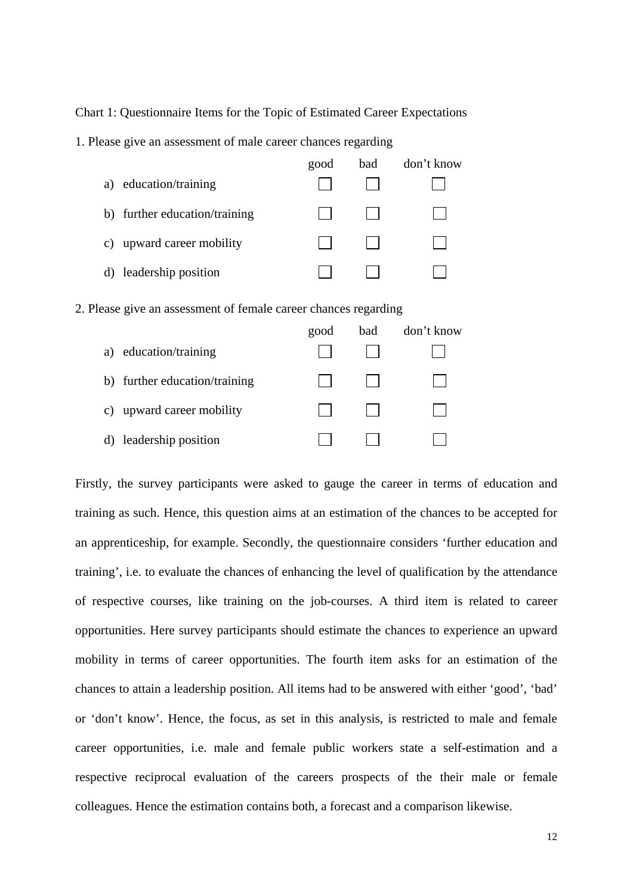Chart 1: Questionnaire Items for the Topic of Estimated Career Expectations

1. Please give an assessment of male career chances regarding

|                               | good | bad | don't know |
|-------------------------------|------|-----|------------|
| a) education/training         |      |     |            |
| b) further education/training |      |     |            |
| c) upward career mobility     |      |     |            |
| d) leadership position        |      |     |            |

2. Please give an assessment of female career chances regarding

|                               | good | bad | don't know |
|-------------------------------|------|-----|------------|
| a) education/training         |      |     |            |
| b) further education/training |      |     |            |
| c) upward career mobility     |      |     |            |
| d) leadership position        |      |     |            |

Firstly, the survey participants were asked to gauge the career in terms of education and training as such. Hence, this question aims at an estimation of the chances to be accepted for an apprenticeship, for example. Secondly, the questionnaire considers 'further education and training', i.e. to evaluate the chances of enhancing the level of qualification by the attendance of respective courses, like training on the job-courses. A third item is related to career opportunities. Here survey participants should estimate the chances to experience an upward mobility in terms of career opportunities. The fourth item asks for an estimation of the chances to attain a leadership position. All items had to be answered with either 'good', 'bad' or 'don't know'. Hence, the focus, as set in this analysis, is restricted to male and female career opportunities, i.e. male and female public workers state a self-estimation and a respective reciprocal evaluation of the careers prospects of the their male or female colleagues. Hence the estimation contains both, a forecast and a comparison likewise.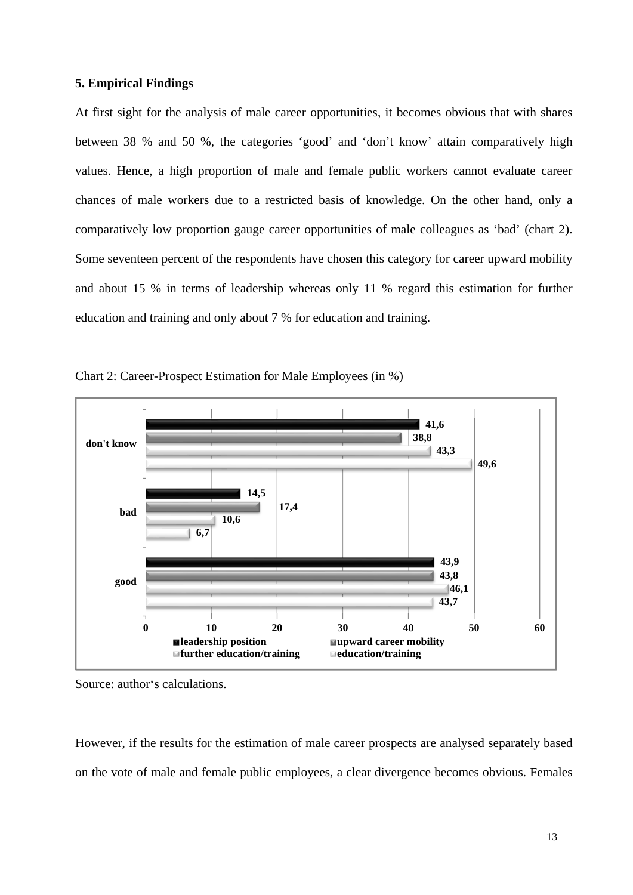#### **5. Empirical Findings**

At first sight for the analysis of male career opportunities, it becomes obvious that with shares between 38 % and 50 %, the categories 'good' and 'don't know' attain comparatively high values. Hence, a high proportion of male and female public workers cannot evaluate career chances of male workers due to a restricted basis of knowledge. On the other hand, only a comparatively low proportion gauge career opportunities of male colleagues as 'bad' (chart 2). Some seventeen percent of the respondents have chosen this category for career upward mobility and about 15 % in terms of leadership whereas only 11 % regard this estimation for further education and training and only about 7 % for education and training.



Chart 2: Career-Prospect Estimation for Male Employees (in %)

However, if the results for the estimation of male career prospects are analysed separately based on the vote of male and female public employees, a clear divergence becomes obvious. Females

Source: author's calculations.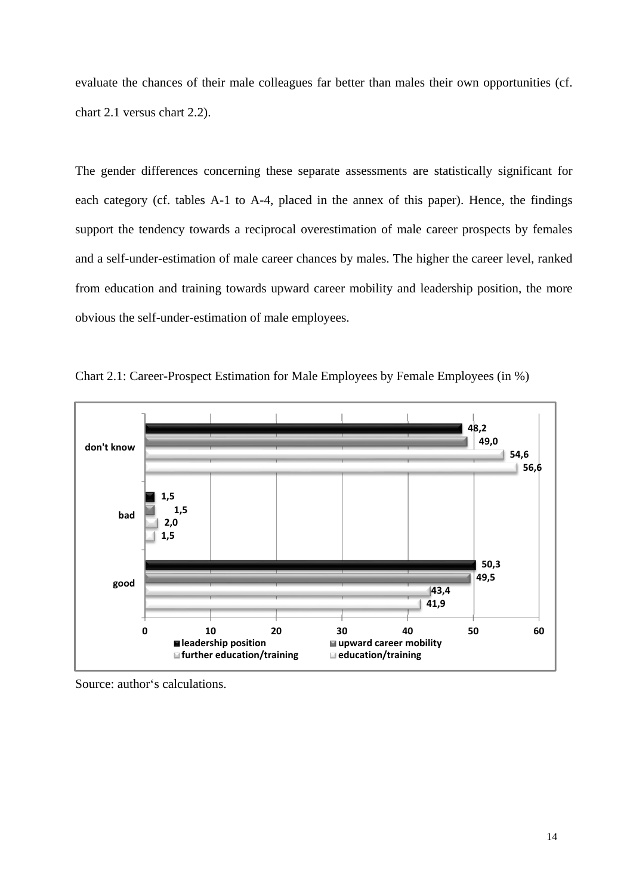evaluate the chances of their male colleagues far better than males their own opportunities (cf. chart 2.1 versus chart 2.2).

The gender differences concerning these separate assessments are statistically significant for each category (cf. tables A-1 to A-4, placed in the annex of this paper). Hence, the findings support the tendency towards a reciprocal overestimation of male career prospects by females and a self-under-estimation of male career chances by males. The higher the career level, ranked from education and training towards upward career mobility and leadership position, the more obvious the self-under-estimation of male employees.



Chart 2.1: Career-Prospect Estimation for Male Employees by Female Employees (in %)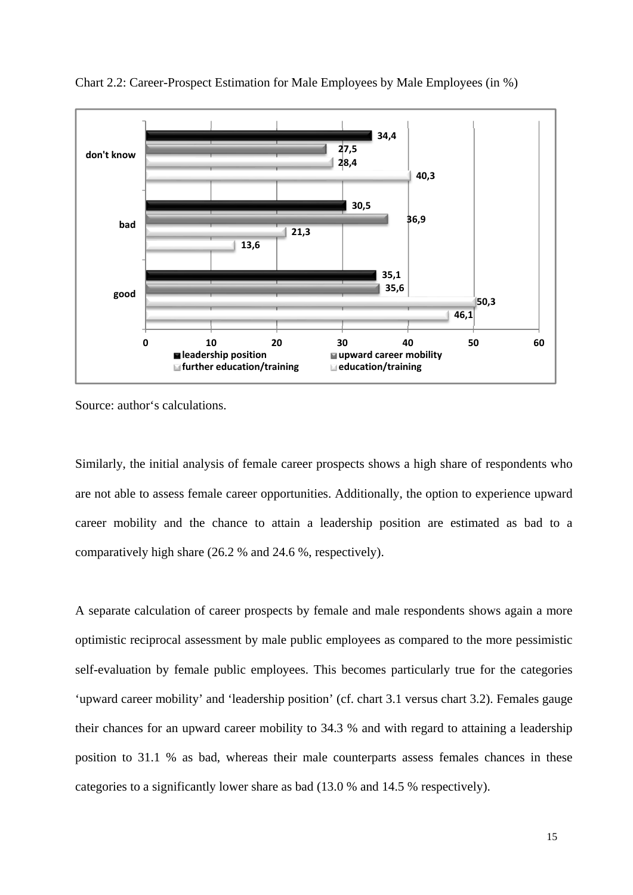

Chart 2.2: Career-Prospect Estimation for Male Employees by Male Employees (in %)

Source: author's calculations.

Similarly, the initial analysis of female career prospects shows a high share of respondents who are not able to assess female career opportunities. Additionally, the option to experience upward career mobility and the chance to attain a leadership position are estimated as bad to a comparatively high share (26.2 % and 24.6 %, respectively).

A separate calculation of career prospects by female and male respondents shows again a more optimistic reciprocal assessment by male public employees as compared to the more pessimistic self-evaluation by female public employees. This becomes particularly true for the categories 'upward career mobility' and 'leadership position' (cf. chart 3.1 versus chart 3.2). Females gauge their chances for an upward career mobility to 34.3 % and with regard to attaining a leadership position to 31.1 % as bad, whereas their male counterparts assess females chances in these categories to a significantly lower share as bad (13.0 % and 14.5 % respectively).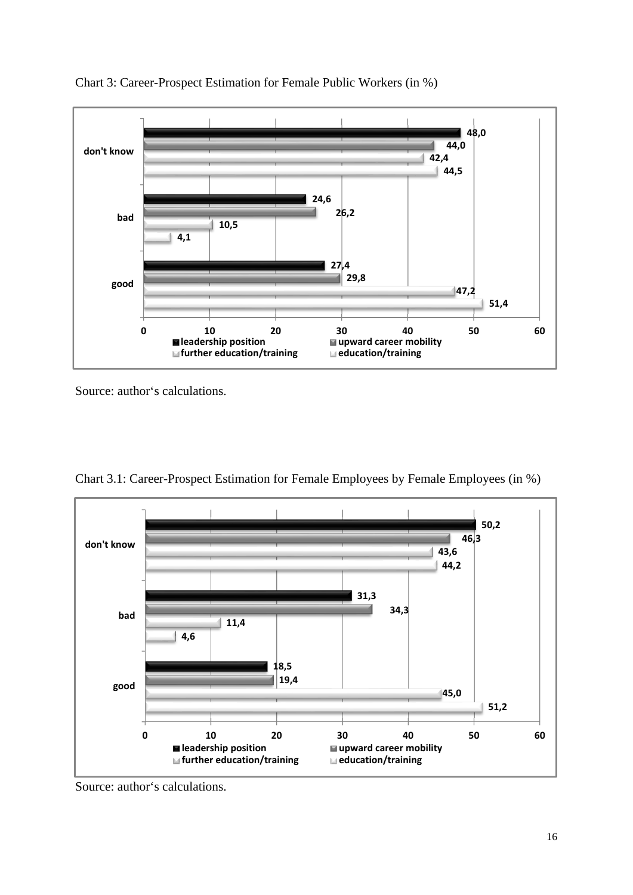

Chart 3: Career-Prospect Estimation for Female Public Workers (in %)





Source: author's calculations.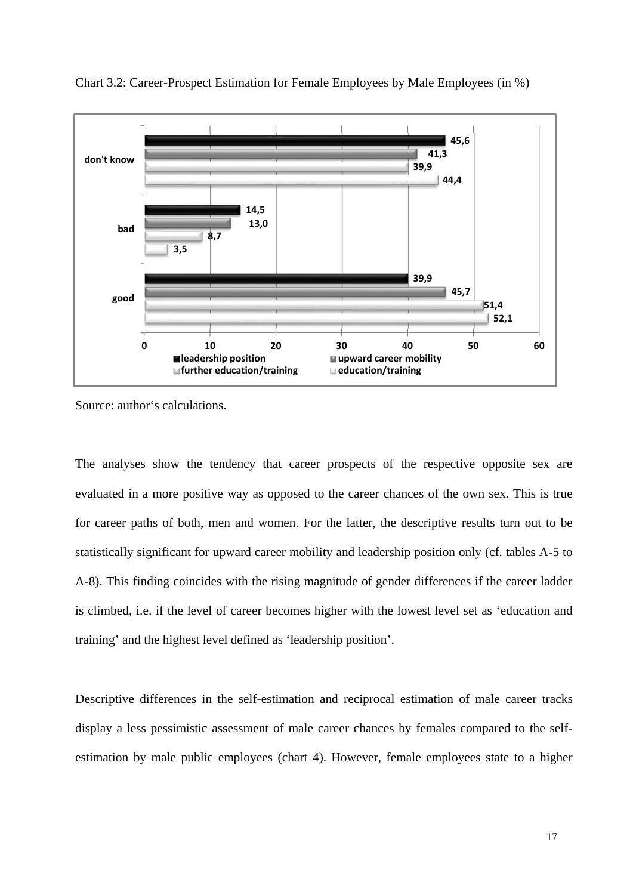

Chart 3.2: Career-Prospect Estimation for Female Employees by Male Employees (in %)

The analyses show the tendency that career prospects of the respective opposite sex are evaluated in a more positive way as opposed to the career chances of the own sex. This is true for career paths of both, men and women. For the latter, the descriptive results turn out to be statistically significant for upward career mobility and leadership position only (cf. tables A-5 to A-8). This finding coincides with the rising magnitude of gender differences if the career ladder is climbed, i.e. if the level of career becomes higher with the lowest level set as 'education and training' and the highest level defined as 'leadership position'.

Descriptive differences in the self-estimation and reciprocal estimation of male career tracks display a less pessimistic assessment of male career chances by females compared to the selfestimation by male public employees (chart 4). However, female employees state to a higher

Source: author's calculations.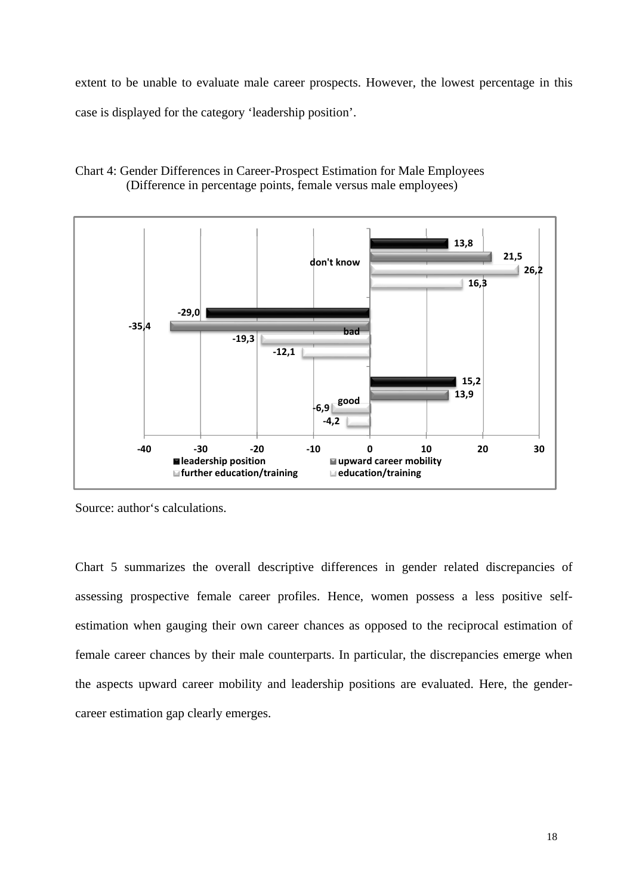extent to be unable to evaluate male career prospects. However, the lowest percentage in this case is displayed for the category 'leadership position'.



## Chart 4: Gender Differences in Career-Prospect Estimation for Male Employees (Difference in percentage points, female versus male employees)

Source: author's calculations.

Chart 5 summarizes the overall descriptive differences in gender related discrepancies of assessing prospective female career profiles. Hence, women possess a less positive selfestimation when gauging their own career chances as opposed to the reciprocal estimation of female career chances by their male counterparts. In particular, the discrepancies emerge when the aspects upward career mobility and leadership positions are evaluated. Here, the gendercareer estimation gap clearly emerges.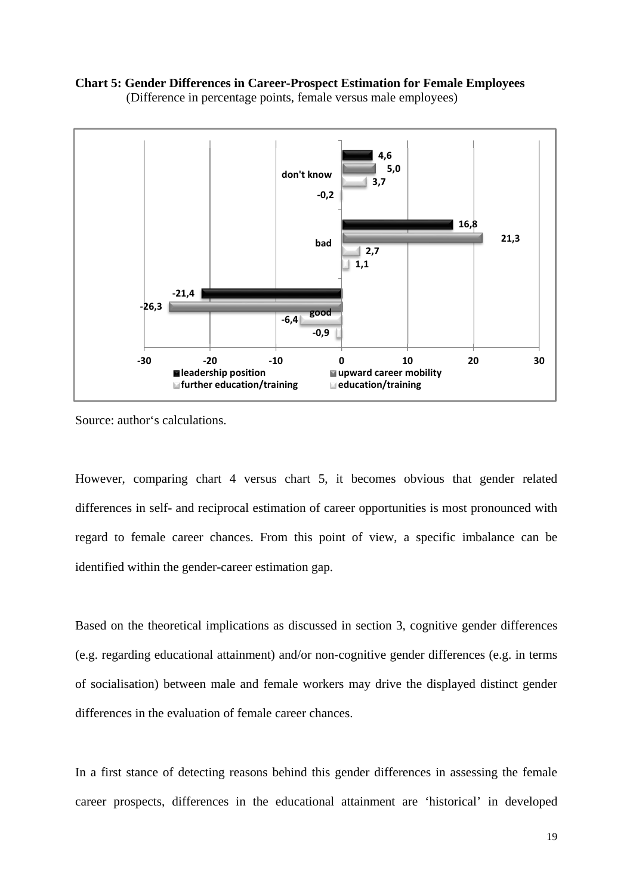**Chart 5: Gender Differences in Career-Prospect Estimation for Female Employees** (Difference in percentage points, female versus male employees)



Source: author's calculations.

However, comparing chart 4 versus chart 5, it becomes obvious that gender related differences in self- and reciprocal estimation of career opportunities is most pronounced with regard to female career chances. From this point of view, a specific imbalance can be identified within the gender-career estimation gap.

Based on the theoretical implications as discussed in section 3, cognitive gender differences (e.g. regarding educational attainment) and/or non-cognitive gender differences (e.g. in terms of socialisation) between male and female workers may drive the displayed distinct gender differences in the evaluation of female career chances.

In a first stance of detecting reasons behind this gender differences in assessing the female career prospects, differences in the educational attainment are 'historical' in developed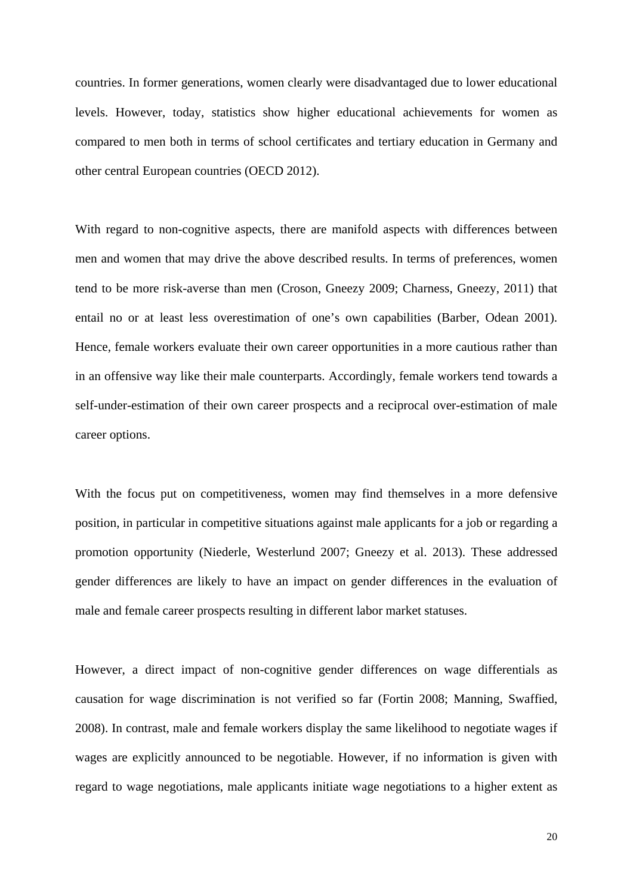countries. In former generations, women clearly were disadvantaged due to lower educational levels. However, today, statistics show higher educational achievements for women as compared to men both in terms of school certificates and tertiary education in Germany and other central European countries (OECD 2012).

With regard to non-cognitive aspects, there are manifold aspects with differences between men and women that may drive the above described results. In terms of preferences, women tend to be more risk-averse than men (Croson, Gneezy 2009; Charness, Gneezy, 2011) that entail no or at least less overestimation of one's own capabilities (Barber, Odean 2001). Hence, female workers evaluate their own career opportunities in a more cautious rather than in an offensive way like their male counterparts. Accordingly, female workers tend towards a self-under-estimation of their own career prospects and a reciprocal over-estimation of male career options.

With the focus put on competitiveness, women may find themselves in a more defensive position, in particular in competitive situations against male applicants for a job or regarding a promotion opportunity (Niederle, Westerlund 2007; Gneezy et al. 2013). These addressed gender differences are likely to have an impact on gender differences in the evaluation of male and female career prospects resulting in different labor market statuses.

However, a direct impact of non-cognitive gender differences on wage differentials as causation for wage discrimination is not verified so far (Fortin 2008; Manning, Swaffied, 2008). In contrast, male and female workers display the same likelihood to negotiate wages if wages are explicitly announced to be negotiable. However, if no information is given with regard to wage negotiations, male applicants initiate wage negotiations to a higher extent as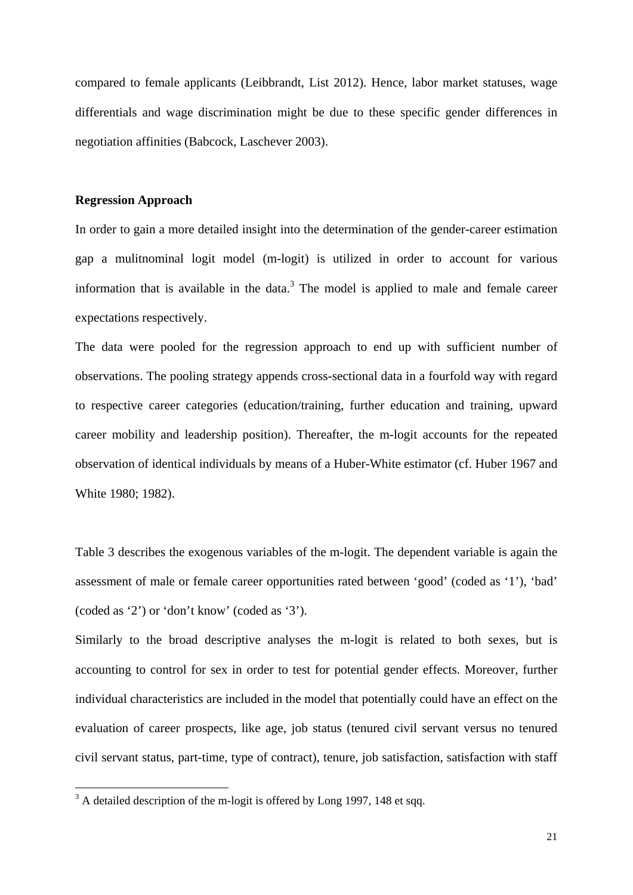compared to female applicants (Leibbrandt, List 2012). Hence, labor market statuses, wage differentials and wage discrimination might be due to these specific gender differences in negotiation affinities (Babcock, Laschever 2003).

#### **Regression Approach**

In order to gain a more detailed insight into the determination of the gender-career estimation gap a mulitnominal logit model (m-logit) is utilized in order to account for various information that is available in the data. $3$  The model is applied to male and female career expectations respectively.

The data were pooled for the regression approach to end up with sufficient number of observations. The pooling strategy appends cross-sectional data in a fourfold way with regard to respective career categories (education/training, further education and training, upward career mobility and leadership position). Thereafter, the m-logit accounts for the repeated observation of identical individuals by means of a Huber-White estimator (cf. Huber 1967 and White 1980; 1982).

Table 3 describes the exogenous variables of the m-logit. The dependent variable is again the assessment of male or female career opportunities rated between 'good' (coded as '1'), 'bad' (coded as '2') or 'don't know' (coded as '3').

Similarly to the broad descriptive analyses the m-logit is related to both sexes, but is accounting to control for sex in order to test for potential gender effects. Moreover, further individual characteristics are included in the model that potentially could have an effect on the evaluation of career prospects, like age, job status (tenured civil servant versus no tenured civil servant status, part-time, type of contract), tenure, job satisfaction, satisfaction with staff

 $3$  A detailed description of the m-logit is offered by Long 1997, 148 et sqq.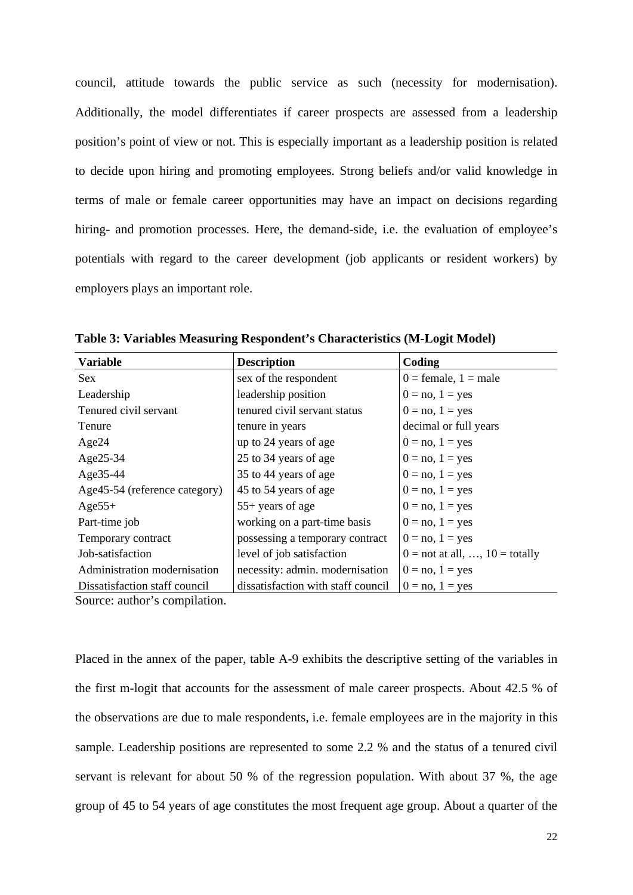council, attitude towards the public service as such (necessity for modernisation). Additionally, the model differentiates if career prospects are assessed from a leadership position's point of view or not. This is especially important as a leadership position is related to decide upon hiring and promoting employees. Strong beliefs and/or valid knowledge in terms of male or female career opportunities may have an impact on decisions regarding hiring- and promotion processes. Here, the demand-side, i.e. the evaluation of employee's potentials with regard to the career development (job applicants or resident workers) by employers plays an important role.

| <b>Variable</b>               | <b>Description</b>                 | Coding                             |
|-------------------------------|------------------------------------|------------------------------------|
| Sex                           | sex of the respondent              | $0 =$ female, $1 =$ male           |
| Leadership                    | leadership position                | $0 = no$ , $1 = yes$               |
| Tenured civil servant         | tenured civil servant status       | $0 = no$ , $1 = yes$               |
| Tenure                        | tenure in years                    | decimal or full years              |
| Age24                         | up to 24 years of age              | $0 = no, 1 = yes$                  |
| Age25-34                      | 25 to 34 years of age              | $0 = no, 1 = yes$                  |
| Age35-44                      | 35 to 44 years of age              | $0 = no$ , $1 = yes$               |
| Age45-54 (reference category) | 45 to 54 years of age              | $0 = no$ , $1 = yes$               |
| $Age55+$                      | $55+$ years of age                 | $0 = no$ , $1 = yes$               |
| Part-time job                 | working on a part-time basis       | $0 = no$ , $1 = yes$               |
| Temporary contract            | possessing a temporary contract    | $0 = no$ , $1 = yes$               |
| Job-satisfaction              | level of job satisfaction          | $0 =$ not at all, , $10 =$ totally |
| Administration modernisation  | necessity: admin. modernisation    | $0 = no$ , $1 = yes$               |
| Dissatisfaction staff council | dissatisfaction with staff council | $0 = no$ , $1 = yes$               |

**Table 3: Variables Measuring Respondent's Characteristics (M-Logit Model)** 

Source: author's compilation.

Placed in the annex of the paper, table A-9 exhibits the descriptive setting of the variables in the first m-logit that accounts for the assessment of male career prospects. About 42.5 % of the observations are due to male respondents, i.e. female employees are in the majority in this sample. Leadership positions are represented to some 2.2 % and the status of a tenured civil servant is relevant for about 50 % of the regression population. With about 37 %, the age group of 45 to 54 years of age constitutes the most frequent age group. About a quarter of the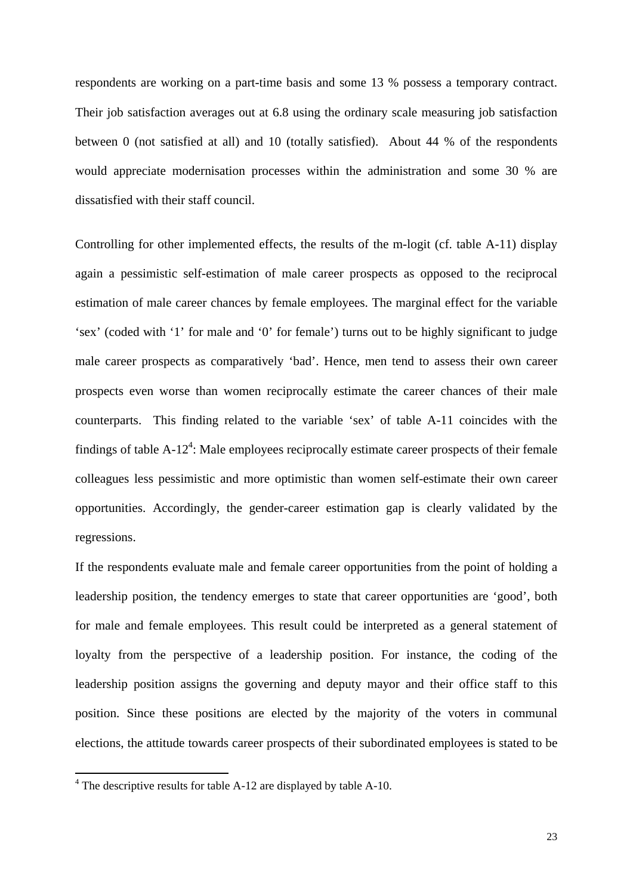respondents are working on a part-time basis and some 13 % possess a temporary contract. Their job satisfaction averages out at 6.8 using the ordinary scale measuring job satisfaction between 0 (not satisfied at all) and 10 (totally satisfied). About 44 % of the respondents would appreciate modernisation processes within the administration and some 30 % are dissatisfied with their staff council.

Controlling for other implemented effects, the results of the m-logit (cf. table A-11) display again a pessimistic self-estimation of male career prospects as opposed to the reciprocal estimation of male career chances by female employees. The marginal effect for the variable 'sex' (coded with '1' for male and '0' for female') turns out to be highly significant to judge male career prospects as comparatively 'bad'. Hence, men tend to assess their own career prospects even worse than women reciprocally estimate the career chances of their male counterparts. This finding related to the variable 'sex' of table A-11 coincides with the findings of table  $A-12^4$ : Male employees reciprocally estimate career prospects of their female colleagues less pessimistic and more optimistic than women self-estimate their own career opportunities. Accordingly, the gender-career estimation gap is clearly validated by the regressions.

If the respondents evaluate male and female career opportunities from the point of holding a leadership position, the tendency emerges to state that career opportunities are 'good', both for male and female employees. This result could be interpreted as a general statement of loyalty from the perspective of a leadership position. For instance, the coding of the leadership position assigns the governing and deputy mayor and their office staff to this position. Since these positions are elected by the majority of the voters in communal elections, the attitude towards career prospects of their subordinated employees is stated to be

<sup>&</sup>lt;sup>4</sup> The descriptive results for table A-12 are displayed by table A-10.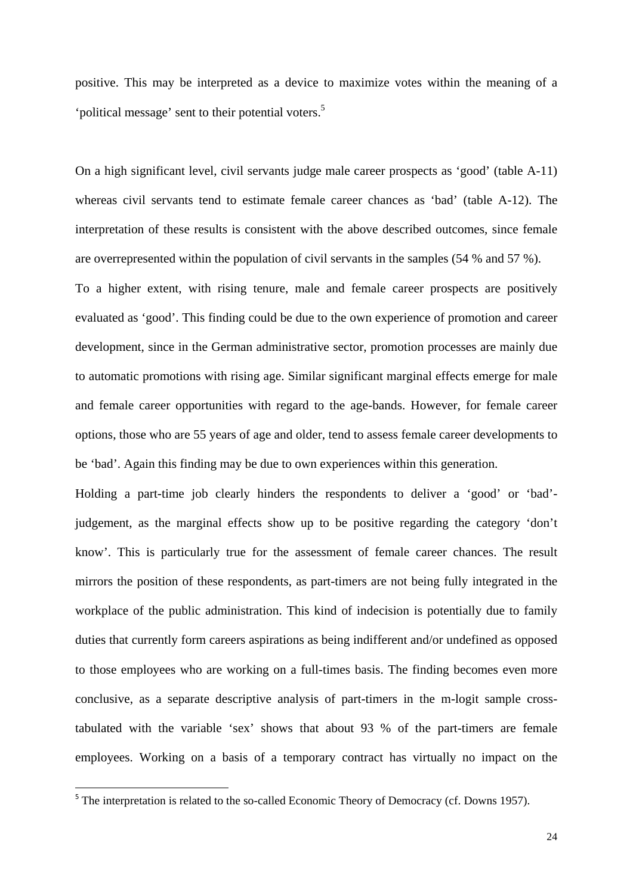positive. This may be interpreted as a device to maximize votes within the meaning of a 'political message' sent to their potential voters.<sup>5</sup>

On a high significant level, civil servants judge male career prospects as 'good' (table A-11) whereas civil servants tend to estimate female career chances as 'bad' (table A-12). The interpretation of these results is consistent with the above described outcomes, since female are overrepresented within the population of civil servants in the samples (54 % and 57 %). To a higher extent, with rising tenure, male and female career prospects are positively evaluated as 'good'. This finding could be due to the own experience of promotion and career development, since in the German administrative sector, promotion processes are mainly due to automatic promotions with rising age. Similar significant marginal effects emerge for male and female career opportunities with regard to the age-bands. However, for female career options, those who are 55 years of age and older, tend to assess female career developments to be 'bad'. Again this finding may be due to own experiences within this generation.

Holding a part-time job clearly hinders the respondents to deliver a 'good' or 'bad' judgement, as the marginal effects show up to be positive regarding the category 'don't know'. This is particularly true for the assessment of female career chances. The result mirrors the position of these respondents, as part-timers are not being fully integrated in the workplace of the public administration. This kind of indecision is potentially due to family duties that currently form careers aspirations as being indifferent and/or undefined as opposed to those employees who are working on a full-times basis. The finding becomes even more conclusive, as a separate descriptive analysis of part-timers in the m-logit sample crosstabulated with the variable 'sex' shows that about 93 % of the part-timers are female employees. Working on a basis of a temporary contract has virtually no impact on the

<sup>&</sup>lt;sup>5</sup> The interpretation is related to the so-called Economic Theory of Democracy (cf. Downs 1957).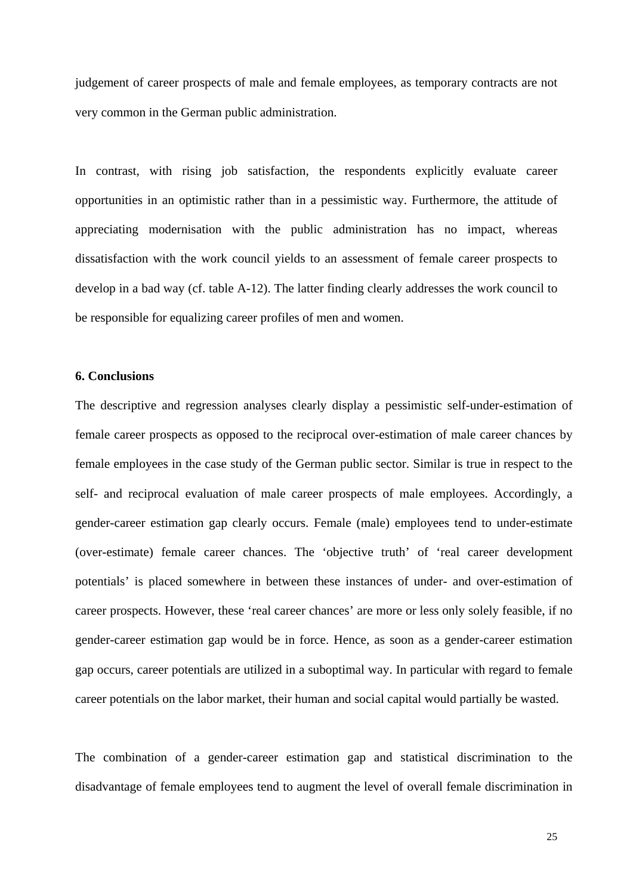judgement of career prospects of male and female employees, as temporary contracts are not very common in the German public administration.

In contrast, with rising job satisfaction, the respondents explicitly evaluate career opportunities in an optimistic rather than in a pessimistic way. Furthermore, the attitude of appreciating modernisation with the public administration has no impact, whereas dissatisfaction with the work council yields to an assessment of female career prospects to develop in a bad way (cf. table A-12). The latter finding clearly addresses the work council to be responsible for equalizing career profiles of men and women.

#### **6. Conclusions**

The descriptive and regression analyses clearly display a pessimistic self-under-estimation of female career prospects as opposed to the reciprocal over-estimation of male career chances by female employees in the case study of the German public sector. Similar is true in respect to the self- and reciprocal evaluation of male career prospects of male employees. Accordingly, a gender-career estimation gap clearly occurs. Female (male) employees tend to under-estimate (over-estimate) female career chances. The 'objective truth' of 'real career development potentials' is placed somewhere in between these instances of under- and over-estimation of career prospects. However, these 'real career chances' are more or less only solely feasible, if no gender-career estimation gap would be in force. Hence, as soon as a gender-career estimation gap occurs, career potentials are utilized in a suboptimal way. In particular with regard to female career potentials on the labor market, their human and social capital would partially be wasted.

The combination of a gender-career estimation gap and statistical discrimination to the disadvantage of female employees tend to augment the level of overall female discrimination in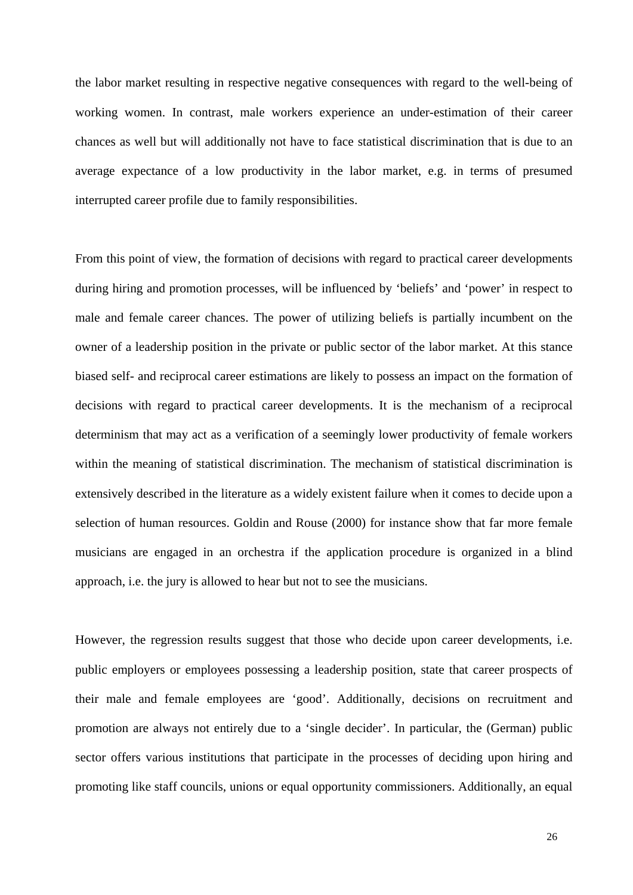the labor market resulting in respective negative consequences with regard to the well-being of working women. In contrast, male workers experience an under-estimation of their career chances as well but will additionally not have to face statistical discrimination that is due to an average expectance of a low productivity in the labor market, e.g. in terms of presumed interrupted career profile due to family responsibilities.

From this point of view, the formation of decisions with regard to practical career developments during hiring and promotion processes, will be influenced by 'beliefs' and 'power' in respect to male and female career chances. The power of utilizing beliefs is partially incumbent on the owner of a leadership position in the private or public sector of the labor market. At this stance biased self- and reciprocal career estimations are likely to possess an impact on the formation of decisions with regard to practical career developments. It is the mechanism of a reciprocal determinism that may act as a verification of a seemingly lower productivity of female workers within the meaning of statistical discrimination. The mechanism of statistical discrimination is extensively described in the literature as a widely existent failure when it comes to decide upon a selection of human resources. Goldin and Rouse (2000) for instance show that far more female musicians are engaged in an orchestra if the application procedure is organized in a blind approach, i.e. the jury is allowed to hear but not to see the musicians.

However, the regression results suggest that those who decide upon career developments, i.e. public employers or employees possessing a leadership position, state that career prospects of their male and female employees are 'good'. Additionally, decisions on recruitment and promotion are always not entirely due to a 'single decider'. In particular, the (German) public sector offers various institutions that participate in the processes of deciding upon hiring and promoting like staff councils, unions or equal opportunity commissioners. Additionally, an equal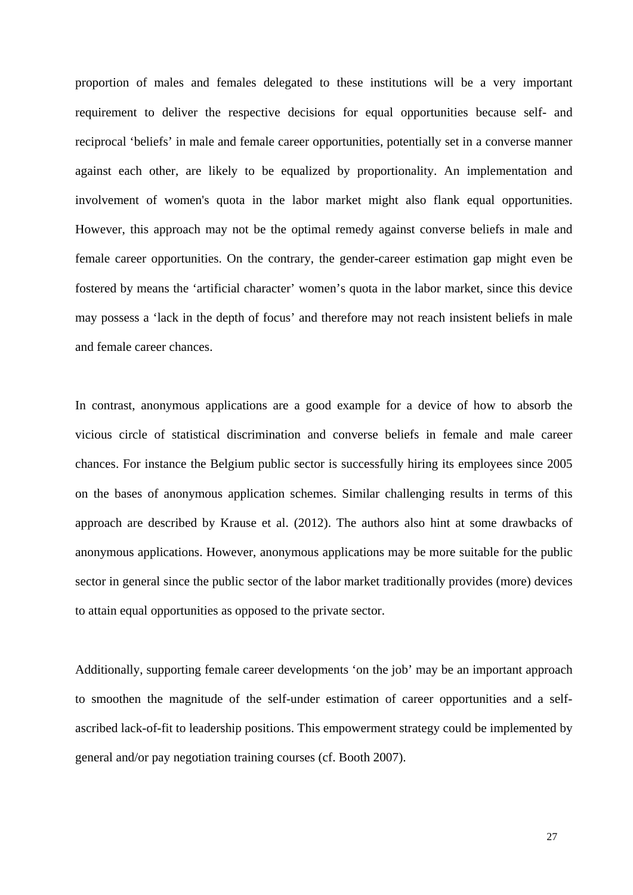proportion of males and females delegated to these institutions will be a very important requirement to deliver the respective decisions for equal opportunities because self- and reciprocal 'beliefs' in male and female career opportunities, potentially set in a converse manner against each other, are likely to be equalized by proportionality. An implementation and involvement of women's quota in the labor market might also flank equal opportunities. However, this approach may not be the optimal remedy against converse beliefs in male and female career opportunities. On the contrary, the gender-career estimation gap might even be fostered by means the 'artificial character' women's quota in the labor market, since this device may possess a 'lack in the depth of focus' and therefore may not reach insistent beliefs in male and female career chances.

In contrast, anonymous applications are a good example for a device of how to absorb the vicious circle of statistical discrimination and converse beliefs in female and male career chances. For instance the Belgium public sector is successfully hiring its employees since 2005 on the bases of anonymous application schemes. Similar challenging results in terms of this approach are described by Krause et al. (2012). The authors also hint at some drawbacks of anonymous applications. However, anonymous applications may be more suitable for the public sector in general since the public sector of the labor market traditionally provides (more) devices to attain equal opportunities as opposed to the private sector.

Additionally, supporting female career developments 'on the job' may be an important approach to smoothen the magnitude of the self-under estimation of career opportunities and a selfascribed lack-of-fit to leadership positions. This empowerment strategy could be implemented by general and/or pay negotiation training courses (cf. Booth 2007).

27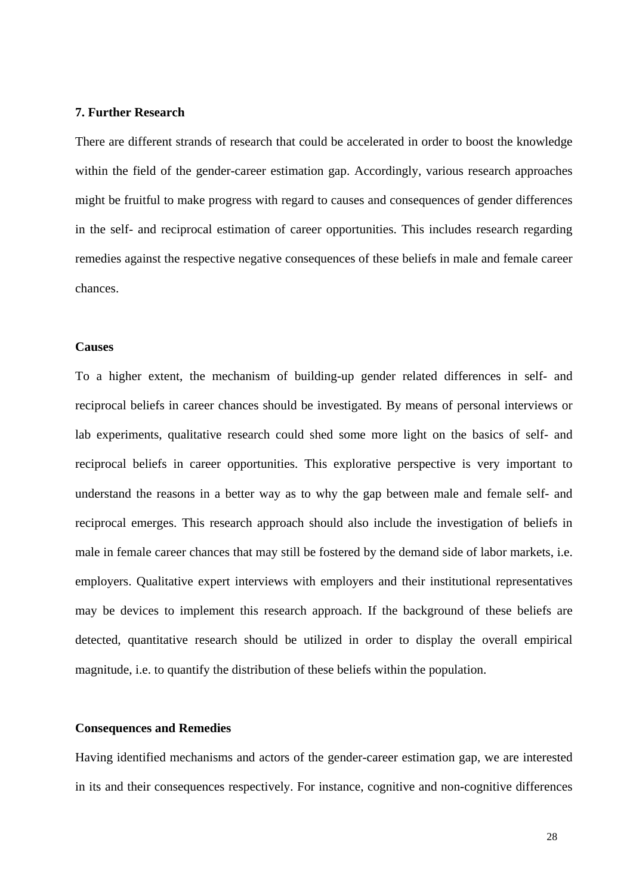#### **7. Further Research**

There are different strands of research that could be accelerated in order to boost the knowledge within the field of the gender-career estimation gap. Accordingly, various research approaches might be fruitful to make progress with regard to causes and consequences of gender differences in the self- and reciprocal estimation of career opportunities. This includes research regarding remedies against the respective negative consequences of these beliefs in male and female career chances.

#### **Causes**

To a higher extent, the mechanism of building-up gender related differences in self- and reciprocal beliefs in career chances should be investigated. By means of personal interviews or lab experiments, qualitative research could shed some more light on the basics of self- and reciprocal beliefs in career opportunities. This explorative perspective is very important to understand the reasons in a better way as to why the gap between male and female self- and reciprocal emerges. This research approach should also include the investigation of beliefs in male in female career chances that may still be fostered by the demand side of labor markets, i.e. employers. Qualitative expert interviews with employers and their institutional representatives may be devices to implement this research approach. If the background of these beliefs are detected, quantitative research should be utilized in order to display the overall empirical magnitude, i.e. to quantify the distribution of these beliefs within the population.

#### **Consequences and Remedies**

Having identified mechanisms and actors of the gender-career estimation gap, we are interested in its and their consequences respectively. For instance, cognitive and non-cognitive differences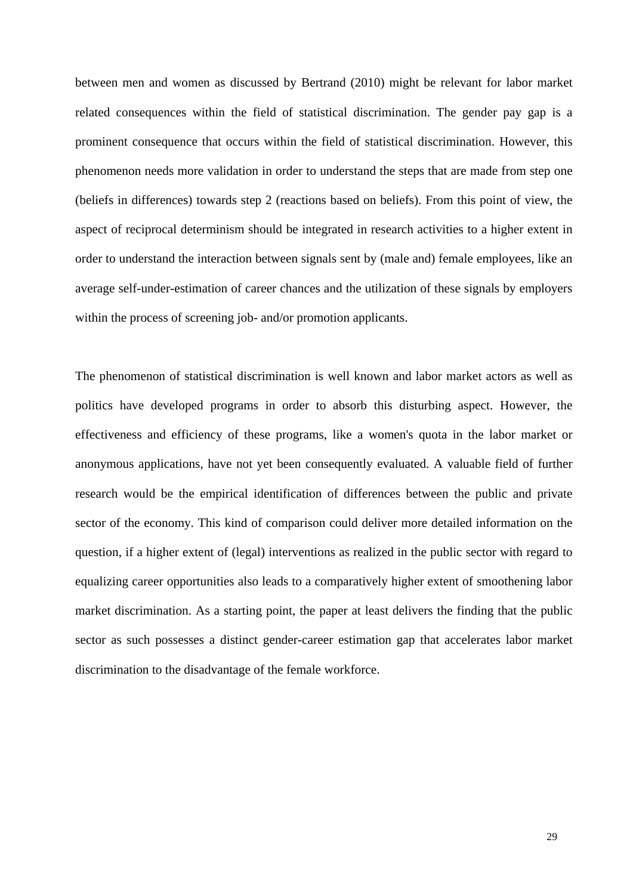between men and women as discussed by Bertrand (2010) might be relevant for labor market related consequences within the field of statistical discrimination. The gender pay gap is a prominent consequence that occurs within the field of statistical discrimination. However, this phenomenon needs more validation in order to understand the steps that are made from step one (beliefs in differences) towards step 2 (reactions based on beliefs). From this point of view, the aspect of reciprocal determinism should be integrated in research activities to a higher extent in order to understand the interaction between signals sent by (male and) female employees, like an average self-under-estimation of career chances and the utilization of these signals by employers within the process of screening job- and/or promotion applicants.

The phenomenon of statistical discrimination is well known and labor market actors as well as politics have developed programs in order to absorb this disturbing aspect. However, the effectiveness and efficiency of these programs, like a women's quota in the labor market or anonymous applications, have not yet been consequently evaluated. A valuable field of further research would be the empirical identification of differences between the public and private sector of the economy. This kind of comparison could deliver more detailed information on the question, if a higher extent of (legal) interventions as realized in the public sector with regard to equalizing career opportunities also leads to a comparatively higher extent of smoothening labor market discrimination. As a starting point, the paper at least delivers the finding that the public sector as such possesses a distinct gender-career estimation gap that accelerates labor market discrimination to the disadvantage of the female workforce.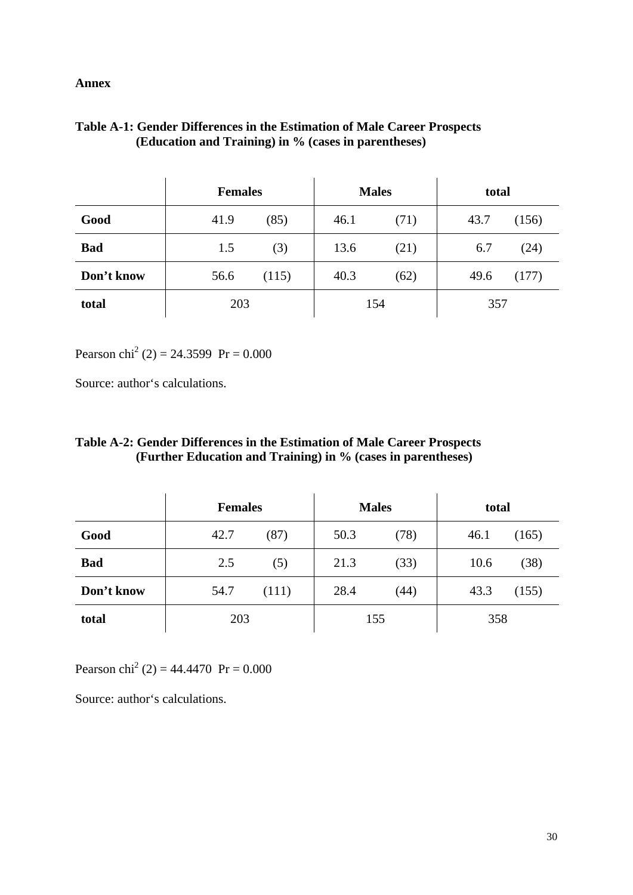#### **Annex**

| Table A-1: Gender Differences in the Estimation of Male Career Prospects |  |
|--------------------------------------------------------------------------|--|
| (Education and Training) in % (cases in parentheses)                     |  |

|            | <b>Females</b> |       | <b>Males</b> |      | total |       |  |
|------------|----------------|-------|--------------|------|-------|-------|--|
| Good       | 41.9           | (85)  | 46.1         | (71) | 43.7  | (156) |  |
| <b>Bad</b> | 1.5            | (3)   | 13.6         | (21) | 6.7   | (24)  |  |
| Don't know | 56.6           | (115) | 40.3         | (62) | 49.6  | (177) |  |
| total      | 203            |       |              | 154  | 357   |       |  |

Pearson chi<sup>2</sup> (2) = 24.3599 Pr = 0.000

Source: author's calculations.

# **Table A-2: Gender Differences in the Estimation of Male Career Prospects (Further Education and Training) in % (cases in parentheses)**

|            | <b>Females</b> |       |      | <b>Males</b> | total |       |
|------------|----------------|-------|------|--------------|-------|-------|
| Good       | 42.7           | (87)  | 50.3 | (78)         | 46.1  | (165) |
| <b>Bad</b> | 2.5            | (5)   | 21.3 | (33)         | 10.6  | (38)  |
| Don't know | 54.7           | (111) | 28.4 | (44)         | 43.3  | (155) |
| total      | 203            |       |      | 155          | 358   |       |

Pearson chi<sup>2</sup> (2) = 44.4470 Pr = 0.000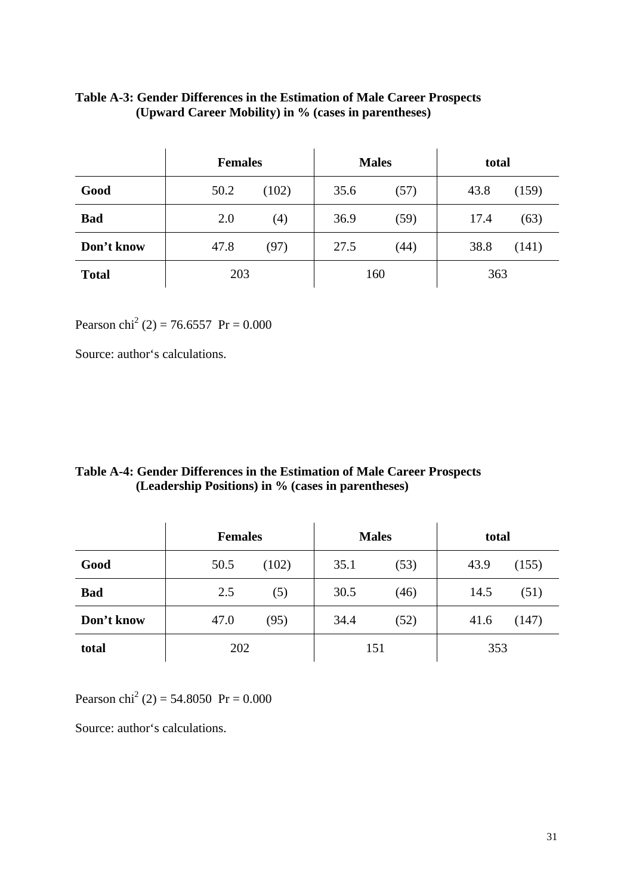## **Table A-3: Gender Differences in the Estimation of Male Career Prospects (Upward Career Mobility) in % (cases in parentheses)**

|              | <b>Females</b> |       |      | <b>Males</b> | total |       |
|--------------|----------------|-------|------|--------------|-------|-------|
| Good         | 50.2           | (102) | 35.6 | (57)         | 43.8  | (159) |
| <b>Bad</b>   | 2.0            | (4)   | 36.9 | (59)         | 17.4  | (63)  |
| Don't know   | 47.8           | (97)  | 27.5 | (44)         | 38.8  | (141) |
| <b>Total</b> | 203            |       |      | 160          | 363   |       |

Pearson chi<sup>2</sup> (2) = 76.6557 Pr = 0.000

Source: author's calculations.

| Table A-4: Gender Differences in the Estimation of Male Career Prospects |  |
|--------------------------------------------------------------------------|--|
| (Leadership Positions) in % (cases in parentheses)                       |  |

|            | <b>Females</b> |       |      | <b>Males</b> | total |       |
|------------|----------------|-------|------|--------------|-------|-------|
| Good       | 50.5           | (102) | 35.1 | (53)         | 43.9  | (155) |
| <b>Bad</b> | 2.5            | (5)   | 30.5 | (46)         | 14.5  | (51)  |
| Don't know | 47.0           | (95)  | 34.4 | (52)         | 41.6  | (147) |
| total      | 202            |       |      | 151          | 353   |       |

Pearson chi<sup>2</sup> (2) = 54.8050 Pr = 0.000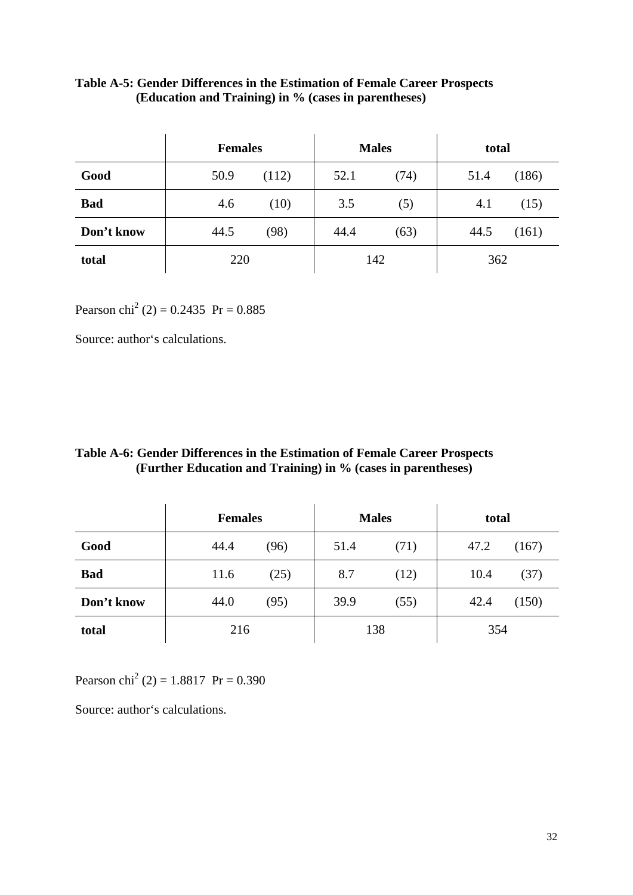# **Table A-5: Gender Differences in the Estimation of Female Career Prospects (Education and Training) in % (cases in parentheses)**

|            | <b>Females</b> | <b>Males</b> | total |
|------------|----------------|--------------|-------|
| Good       | 50.9           | 52.1         | 51.4  |
|            | (112)          | (74)         | (186) |
| <b>Bad</b> | (10)           | 3.5          | (15)  |
|            | 4.6            | (5)          | 4.1   |
| Don't know | (98)           | 44.4         | 44.5  |
|            | 44.5           | (63)         | (161) |
| total      | 220            | 142          | 362   |

Pearson chi<sup>2</sup> (2) = 0.2435 Pr = 0.885

Source: author's calculations.

|  | Table A-6: Gender Differences in the Estimation of Female Career Prospects |  |  |  |
|--|----------------------------------------------------------------------------|--|--|--|
|  | (Further Education and Training) in % (cases in parentheses)               |  |  |  |

|            | <b>Females</b> |      | <b>Males</b> |      | total |       |
|------------|----------------|------|--------------|------|-------|-------|
| Good       | 44.4           | (96) | 51.4         | (71) | 47.2  | (167) |
| <b>Bad</b> | 11.6           | (25) | 8.7          | (12) | 10.4  | (37)  |
| Don't know | 44.0           | (95) | 39.9         | (55) | 42.4  | (150) |
| total      | 216            |      | 138          |      | 354   |       |

Pearson chi<sup>2</sup> (2) = 1.8817 Pr = 0.390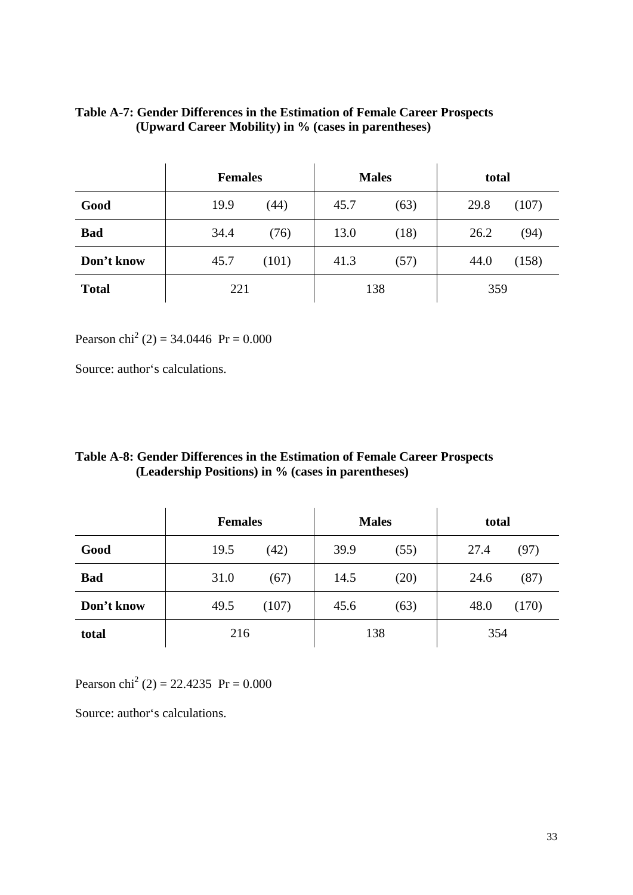## **Table A-7: Gender Differences in the Estimation of Female Career Prospects (Upward Career Mobility) in % (cases in parentheses)**

|              | <b>Females</b> | <b>Males</b> | total |  |
|--------------|----------------|--------------|-------|--|
| Good         | 19.9           | 45.7         | 29.8  |  |
|              | (44)           | (63)         | (107) |  |
| <b>Bad</b>   | 34.4           | 13.0         | 26.2  |  |
|              | (76)           | (18)         | (94)  |  |
| Don't know   | (101)          | (57)         | 44.0  |  |
|              | 45.7           | 41.3         | (158) |  |
| <b>Total</b> | 221            | 138          | 359   |  |

Pearson chi<sup>2</sup> (2) = 34.0446 Pr = 0.000

Source: author's calculations.

### **Table A-8: Gender Differences in the Estimation of Female Career Prospects (Leadership Positions) in % (cases in parentheses)**

|            | <b>Females</b> | <b>Males</b> | total |  |
|------------|----------------|--------------|-------|--|
| Good       | (42)           | 39.9         | 27.4  |  |
|            | 19.5           | (55)         | (97)  |  |
| <b>Bad</b> | 31.0           | (20)         | (87)  |  |
|            | (67)           | 14.5         | 24.6  |  |
| Don't know | 49.5           | (63)         | 48.0  |  |
|            | (107)          | 45.6         | (170) |  |
| total      | 216            | 138          | 354   |  |

Pearson chi<sup>2</sup> (2) = 22.4235 Pr = 0.000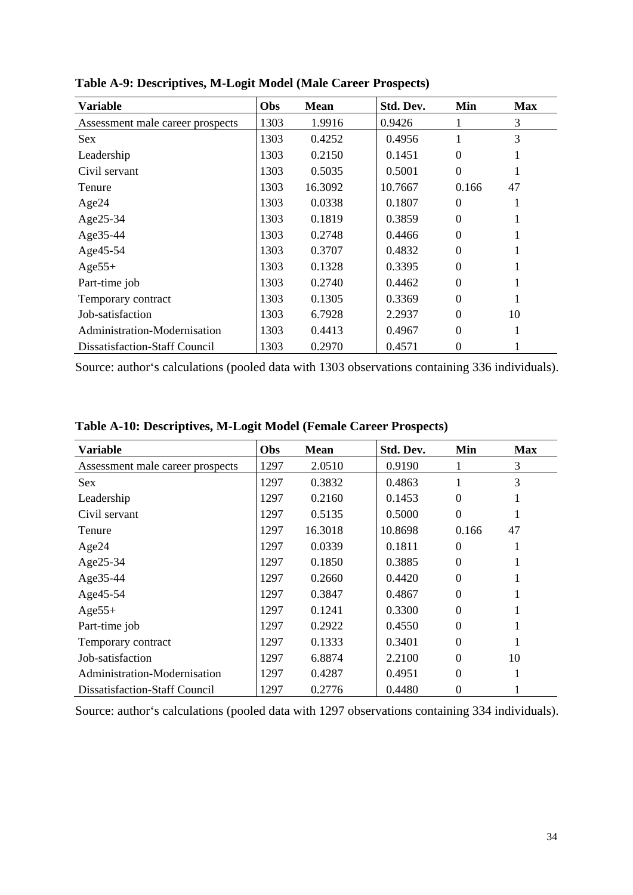| <b>Variable</b>                  | Obs  | <b>Mean</b> | Std. Dev. | Min            | <b>Max</b> |
|----------------------------------|------|-------------|-----------|----------------|------------|
| Assessment male career prospects | 1303 | 1.9916      | 0.9426    | 1              | 3          |
| <b>Sex</b>                       | 1303 | 0.4252      | 0.4956    |                | 3          |
| Leadership                       | 1303 | 0.2150      | 0.1451    | $\overline{0}$ |            |
| Civil servant                    | 1303 | 0.5035      | 0.5001    | $\Omega$       |            |
| Tenure                           | 1303 | 16.3092     | 10.7667   | 0.166          | 47         |
| Age24                            | 1303 | 0.0338      | 0.1807    | $\theta$       |            |
| Age25-34                         | 1303 | 0.1819      | 0.3859    | $\theta$       |            |
| Age35-44                         | 1303 | 0.2748      | 0.4466    | 0              |            |
| Age45-54                         | 1303 | 0.3707      | 0.4832    | $\Omega$       |            |
| $Age55+$                         | 1303 | 0.1328      | 0.3395    | $\theta$       |            |
| Part-time job                    | 1303 | 0.2740      | 0.4462    | $\Omega$       |            |
| Temporary contract               | 1303 | 0.1305      | 0.3369    | $\Omega$       | 1          |
| Job-satisfaction                 | 1303 | 6.7928      | 2.2937    | $\Omega$       | 10         |
| Administration-Modernisation     | 1303 | 0.4413      | 0.4967    | $\Omega$       | 1          |
| Dissatisfaction-Staff Council    | 1303 | 0.2970      | 0.4571    | 0              |            |

**Table A-9: Descriptives, M-Logit Model (Male Career Prospects)** 

Source: author's calculations (pooled data with 1303 observations containing 336 individuals).

| <b>Variable</b>                  | Obs  | <b>Mean</b> | Std. Dev. | Min            | <b>Max</b> |
|----------------------------------|------|-------------|-----------|----------------|------------|
| Assessment male career prospects | 1297 | 2.0510      | 0.9190    | 1              | 3          |
| Sex                              | 1297 | 0.3832      | 0.4863    |                | 3          |
| Leadership                       | 1297 | 0.2160      | 0.1453    | $\overline{0}$ |            |
| Civil servant                    | 1297 | 0.5135      | 0.5000    | $\overline{0}$ |            |
| Tenure                           | 1297 | 16.3018     | 10.8698   | 0.166          | 47         |
| Age24                            | 1297 | 0.0339      | 0.1811    | $\Omega$       |            |
| Age25-34                         | 1297 | 0.1850      | 0.3885    | $\Omega$       |            |
| Age35-44                         | 1297 | 0.2660      | 0.4420    | $\Omega$       |            |
| Age45-54                         | 1297 | 0.3847      | 0.4867    | $\Omega$       |            |
| $Age55+$                         | 1297 | 0.1241      | 0.3300    | $\Omega$       |            |
| Part-time job                    | 1297 | 0.2922      | 0.4550    | $\Omega$       |            |
| Temporary contract               | 1297 | 0.1333      | 0.3401    | $\Omega$       |            |
| Job-satisfaction                 | 1297 | 6.8874      | 2.2100    | $\theta$       | 10         |
| Administration-Modernisation     | 1297 | 0.4287      | 0.4951    | $\Omega$       |            |
| Dissatisfaction-Staff Council    | 1297 | 0.2776      | 0.4480    | $\overline{0}$ |            |

**Table A-10: Descriptives, M-Logit Model (Female Career Prospects)** 

Source: author's calculations (pooled data with 1297 observations containing 334 individuals).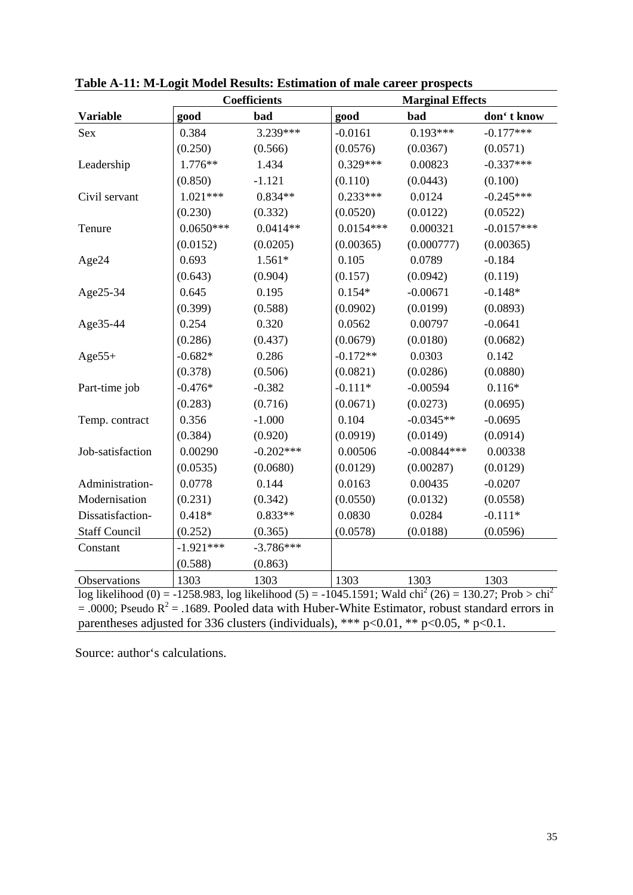|                                                                                                                               |             | Coefficients | <b>Marginal Effects</b> |               |              |
|-------------------------------------------------------------------------------------------------------------------------------|-------------|--------------|-------------------------|---------------|--------------|
| <b>Variable</b>                                                                                                               | good        | bad          | good                    | bad           | don't know   |
| Sex                                                                                                                           | 0.384       | 3.239***     | $-0.0161$               | $0.193***$    | $-0.177***$  |
|                                                                                                                               | (0.250)     | (0.566)      | (0.0576)                | (0.0367)      | (0.0571)     |
| Leadership                                                                                                                    | $1.776**$   | 1.434        | $0.329***$              | 0.00823       | $-0.337***$  |
|                                                                                                                               | (0.850)     | $-1.121$     | (0.110)                 | (0.0443)      | (0.100)      |
| Civil servant                                                                                                                 | $1.021***$  | $0.834**$    | $0.233***$              | 0.0124        | $-0.245***$  |
|                                                                                                                               | (0.230)     | (0.332)      | (0.0520)                | (0.0122)      | (0.0522)     |
| Tenure                                                                                                                        | $0.0650***$ | $0.0414**$   | $0.0154***$             | 0.000321      | $-0.0157***$ |
|                                                                                                                               | (0.0152)    | (0.0205)     | (0.00365)               | (0.000777)    | (0.00365)    |
| Age24                                                                                                                         | 0.693       | $1.561*$     | 0.105                   | 0.0789        | $-0.184$     |
|                                                                                                                               | (0.643)     | (0.904)      | (0.157)                 | (0.0942)      | (0.119)      |
| Age25-34                                                                                                                      | 0.645       | 0.195        | $0.154*$                | $-0.00671$    | $-0.148*$    |
|                                                                                                                               | (0.399)     | (0.588)      | (0.0902)                | (0.0199)      | (0.0893)     |
| Age35-44                                                                                                                      | 0.254       | 0.320        | 0.0562                  | 0.00797       | $-0.0641$    |
|                                                                                                                               | (0.286)     | (0.437)      | (0.0679)                | (0.0180)      | (0.0682)     |
| $Age55+$                                                                                                                      | $-0.682*$   | 0.286        | $-0.172**$              | 0.0303        | 0.142        |
|                                                                                                                               | (0.378)     | (0.506)      | (0.0821)                | (0.0286)      | (0.0880)     |
| Part-time job                                                                                                                 | $-0.476*$   | $-0.382$     | $-0.111*$               | $-0.00594$    | $0.116*$     |
|                                                                                                                               | (0.283)     | (0.716)      | (0.0671)                | (0.0273)      | (0.0695)     |
| Temp. contract                                                                                                                | 0.356       | $-1.000$     | 0.104                   | $-0.0345**$   | $-0.0695$    |
|                                                                                                                               | (0.384)     | (0.920)      | (0.0919)                | (0.0149)      | (0.0914)     |
| Job-satisfaction                                                                                                              | 0.00290     | $-0.202***$  | 0.00506                 | $-0.00844***$ | 0.00338      |
|                                                                                                                               | (0.0535)    | (0.0680)     | (0.0129)                | (0.00287)     | (0.0129)     |
| Administration-                                                                                                               | 0.0778      | 0.144        | 0.0163                  | 0.00435       | $-0.0207$    |
| Modernisation                                                                                                                 | (0.231)     | (0.342)      | (0.0550)                | (0.0132)      | (0.0558)     |
| Dissatisfaction-                                                                                                              | $0.418*$    | $0.833**$    | 0.0830                  | 0.0284        | $-0.111*$    |
| <b>Staff Council</b>                                                                                                          | (0.252)     | (0.365)      | (0.0578)                | (0.0188)      | (0.0596)     |
| Constant                                                                                                                      | $-1.921***$ | $-3.786***$  |                         |               |              |
|                                                                                                                               | (0.588)     | (0.863)      |                         |               |              |
| Observations                                                                                                                  | 1303        | 1303         | 1303                    | 1303          | 1303         |
| log likelihood (0) = -1258.983, log likelihood (5) = -1045.1591; Wald chi <sup>2</sup> (26) = 130.27; Prob > chi <sup>2</sup> |             |              |                         |               |              |
| $=$ .0000; Pseudo R <sup>2</sup> = .1689. Pooled data with Huber-White Estimator, robust standard errors in                   |             |              |                         |               |              |
| parentheses adjusted for 336 clusters (individuals), *** $p<0.01$ , ** $p<0.05$ , * $p<0.1$ .                                 |             |              |                         |               |              |

**Table A-11: M-Logit Model Results: Estimation of male career prospects**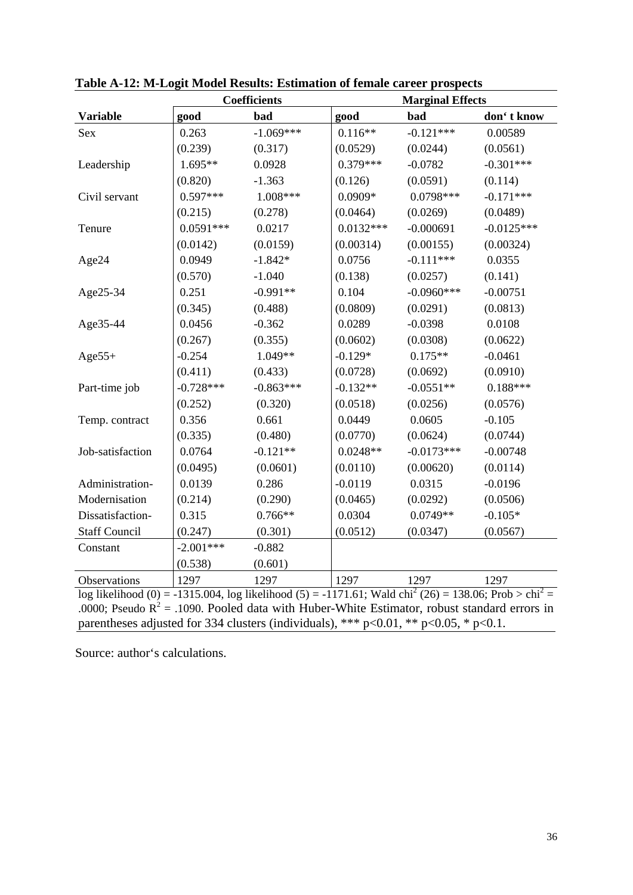|                                                                                                                               |             | <b>Coefficients</b> | <b>Marginal Effects</b> |              |              |  |
|-------------------------------------------------------------------------------------------------------------------------------|-------------|---------------------|-------------------------|--------------|--------------|--|
| <b>Variable</b>                                                                                                               | good        | bad                 | good                    | bad          | don't know   |  |
| <b>Sex</b>                                                                                                                    | 0.263       | $-1.069***$         | $0.116**$               | $-0.121***$  | 0.00589      |  |
|                                                                                                                               | (0.239)     | (0.317)             | (0.0529)                | (0.0244)     | (0.0561)     |  |
| Leadership                                                                                                                    | $1.695**$   | 0.0928              | $0.379***$              | $-0.0782$    | $-0.301***$  |  |
|                                                                                                                               | (0.820)     | $-1.363$            | (0.126)                 | (0.0591)     | (0.114)      |  |
| Civil servant                                                                                                                 | $0.597***$  | 1.008***            | $0.0909*$               | $0.0798***$  | $-0.171***$  |  |
|                                                                                                                               | (0.215)     | (0.278)             | (0.0464)                | (0.0269)     | (0.0489)     |  |
| Tenure                                                                                                                        | $0.0591***$ | 0.0217              | $0.0132***$             | $-0.000691$  | $-0.0125***$ |  |
|                                                                                                                               | (0.0142)    | (0.0159)            | (0.00314)               | (0.00155)    | (0.00324)    |  |
| Age24                                                                                                                         | 0.0949      | $-1.842*$           | 0.0756                  | $-0.111***$  | 0.0355       |  |
|                                                                                                                               | (0.570)     | $-1.040$            | (0.138)                 | (0.0257)     | (0.141)      |  |
| Age25-34                                                                                                                      | 0.251       | $-0.991**$          | 0.104                   | $-0.0960***$ | $-0.00751$   |  |
|                                                                                                                               | (0.345)     | (0.488)             | (0.0809)                | (0.0291)     | (0.0813)     |  |
| Age35-44                                                                                                                      | 0.0456      | $-0.362$            | 0.0289                  | $-0.0398$    | 0.0108       |  |
|                                                                                                                               | (0.267)     | (0.355)             | (0.0602)                | (0.0308)     | (0.0622)     |  |
| $Age55+$                                                                                                                      | $-0.254$    | 1.049**             | $-0.129*$               | $0.175**$    | $-0.0461$    |  |
|                                                                                                                               | (0.411)     | (0.433)             | (0.0728)                | (0.0692)     | (0.0910)     |  |
| Part-time job                                                                                                                 | $-0.728***$ | $-0.863***$         | $-0.132**$              | $-0.0551**$  | $0.188***$   |  |
|                                                                                                                               | (0.252)     | (0.320)             | (0.0518)                | (0.0256)     | (0.0576)     |  |
| Temp. contract                                                                                                                | 0.356       | 0.661               | 0.0449                  | 0.0605       | $-0.105$     |  |
|                                                                                                                               | (0.335)     | (0.480)             | (0.0770)                | (0.0624)     | (0.0744)     |  |
| Job-satisfaction                                                                                                              | 0.0764      | $-0.121**$          | $0.0248**$              | $-0.0173***$ | $-0.00748$   |  |
|                                                                                                                               | (0.0495)    | (0.0601)            | (0.0110)                | (0.00620)    | (0.0114)     |  |
| Administration-                                                                                                               | 0.0139      | 0.286               | $-0.0119$               | 0.0315       | $-0.0196$    |  |
| Modernisation                                                                                                                 | (0.214)     | (0.290)             | (0.0465)                | (0.0292)     | (0.0506)     |  |
| Dissatisfaction-                                                                                                              | 0.315       | $0.766**$           | 0.0304                  | $0.0749**$   | $-0.105*$    |  |
| <b>Staff Council</b>                                                                                                          | (0.247)     | (0.301)             | (0.0512)                | (0.0347)     | (0.0567)     |  |
| Constant                                                                                                                      | $-2.001***$ | $-0.882$            |                         |              |              |  |
|                                                                                                                               | (0.538)     | (0.601)             |                         |              |              |  |
| Observations                                                                                                                  | 1297        | 1297                | 1297                    | 1297         | 1297         |  |
| log likelihood (0) = -1315.004, log likelihood (5) = -1171.61; Wald chi <sup>2</sup> (26) = 138.06; Prob > chi <sup>2</sup> = |             |                     |                         |              |              |  |
| .0000; Pseudo $R^2$ = .1090. Pooled data with Huber-White Estimator, robust standard errors in                                |             |                     |                         |              |              |  |
| parentheses adjusted for 334 clusters (individuals), *** $p<0.01$ , ** $p<0.05$ , * $p<0.1$ .                                 |             |                     |                         |              |              |  |

**Table A-12: M-Logit Model Results: Estimation of female career prospects**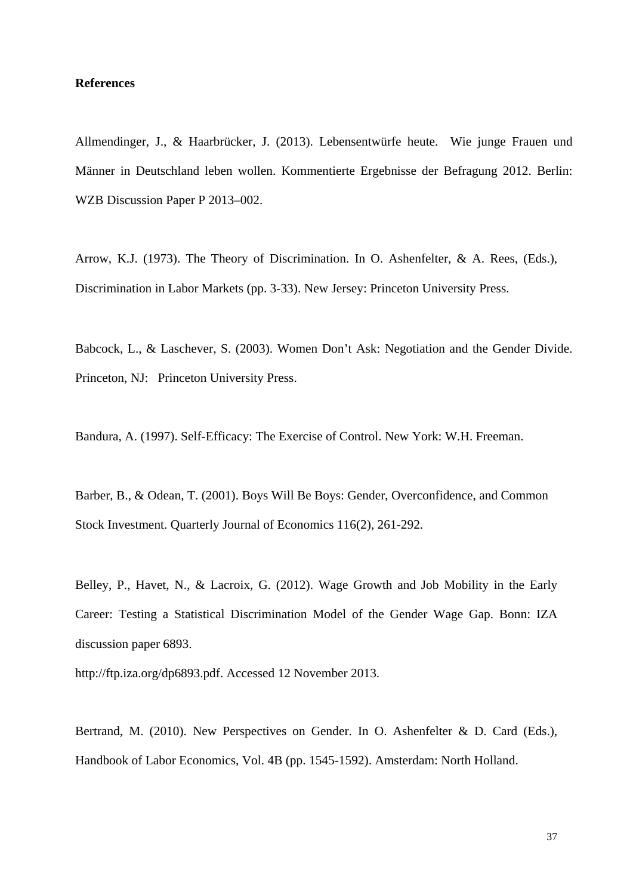#### **References**

Allmendinger, J., & Haarbrücker, J. (2013). Lebensentwürfe heute. Wie junge Frauen und Männer in Deutschland leben wollen. Kommentierte Ergebnisse der Befragung 2012. Berlin: WZB Discussion Paper P 2013–002.

Arrow, K.J. (1973). The Theory of Discrimination. In O. Ashenfelter, & A. Rees, (Eds.), Discrimination in Labor Markets (pp. 3-33). New Jersey: Princeton University Press.

Babcock, L., & Laschever, S. (2003). Women Don't Ask: Negotiation and the Gender Divide. Princeton, NJ: Princeton University Press.

Bandura, A. (1997). Self-Efficacy: The Exercise of Control. New York: W.H. Freeman.

Barber, B., & Odean, T. (2001). Boys Will Be Boys: Gender, Overconfidence, and Common Stock Investment. Quarterly Journal of Economics 116(2), 261-292.

Belley, P., Havet, N., & Lacroix, G. (2012). Wage Growth and Job Mobility in the Early Career: Testing a Statistical Discrimination Model of the Gender Wage Gap. Bonn: IZA discussion paper 6893.

http://ftp.iza.org/dp6893.pdf. Accessed 12 November 2013.

Bertrand, M. (2010). New Perspectives on Gender. In O. Ashenfelter & D. Card (Eds.), Handbook of Labor Economics, Vol. 4B (pp. 1545-1592). Amsterdam: North Holland.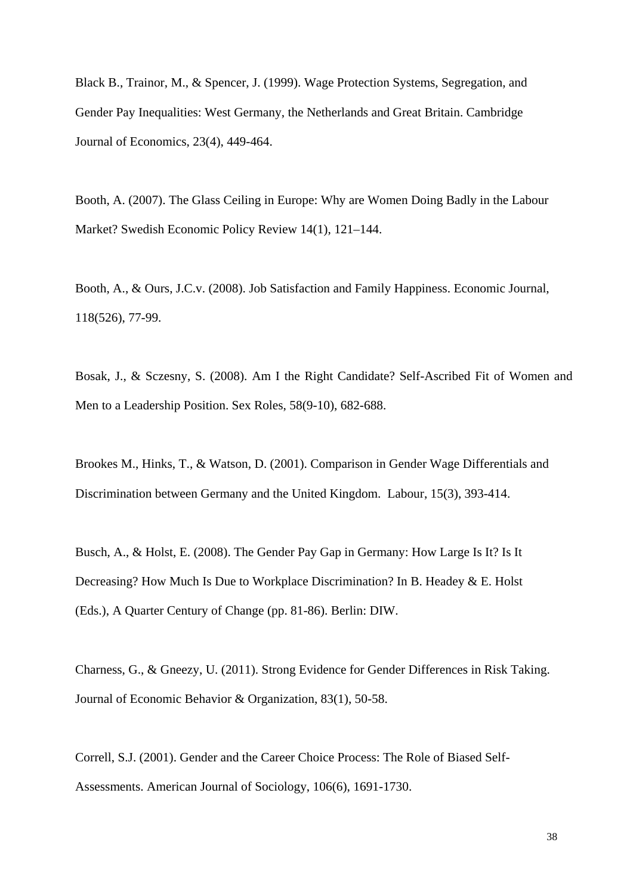Black B., Trainor, M., & Spencer, J. (1999). Wage Protection Systems, Segregation, and Gender Pay Inequalities: West Germany, the Netherlands and Great Britain. Cambridge Journal of Economics, 23(4), 449-464.

Booth, A. (2007). The Glass Ceiling in Europe: Why are Women Doing Badly in the Labour Market? Swedish Economic Policy Review 14(1), 121–144.

Booth, A., & Ours, J.C.v. (2008). Job Satisfaction and Family Happiness. Economic Journal, 118(526), 77-99.

Bosak, J., & Sczesny, S. (2008). Am I the Right Candidate? Self-Ascribed Fit of Women and Men to a Leadership Position. Sex Roles, 58(9-10), 682-688.

Brookes M., Hinks, T., & Watson, D. (2001). Comparison in Gender Wage Differentials and Discrimination between Germany and the United Kingdom. Labour, 15(3), 393-414.

Busch, A., & Holst, E. (2008). The Gender Pay Gap in Germany: How Large Is It? Is It Decreasing? How Much Is Due to Workplace Discrimination? In B. Headey & E. Holst (Eds.), A Quarter Century of Change (pp. 81-86). Berlin: DIW.

Charness, G., & Gneezy, U. (2011). Strong Evidence for Gender Differences in Risk Taking. Journal of Economic Behavior & Organization, 83(1), 50-58.

Correll, S.J. (2001). Gender and the Career Choice Process: The Role of Biased Self-Assessments. American Journal of Sociology, 106(6), 1691-1730.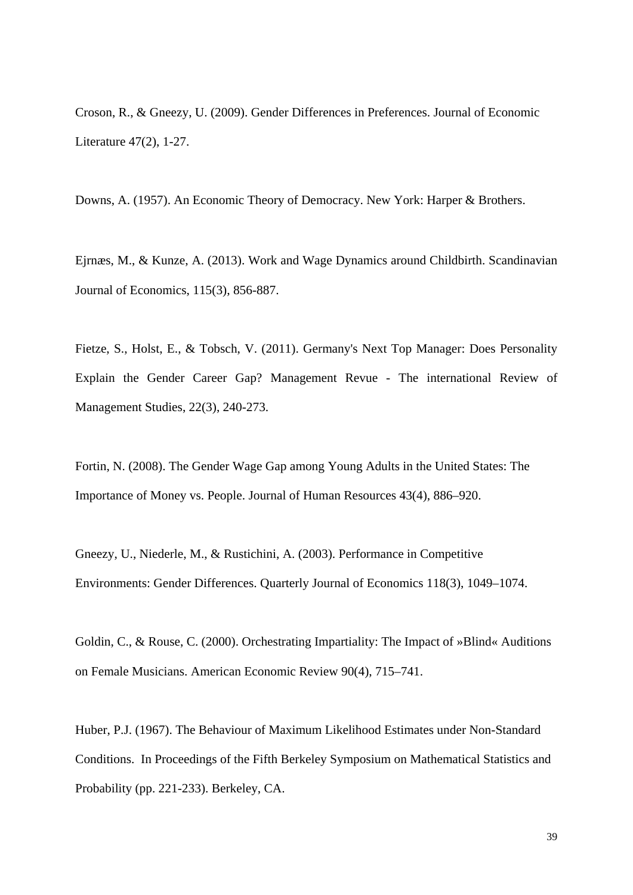Croson, R., & Gneezy, U. (2009). Gender Differences in Preferences. Journal of Economic Literature 47(2), 1-27.

Downs, A. (1957). An Economic Theory of Democracy. New York: Harper & Brothers.

Ejrnæs, M., & Kunze, A. (2013). Work and Wage Dynamics around Childbirth. Scandinavian Journal of Economics, 115(3), 856-887.

Fietze, S., Holst, E., & Tobsch, V. (2011). Germany's Next Top Manager: Does Personality Explain the Gender Career Gap? Management Revue - The international Review of Management Studies, 22(3), 240-273.

Fortin, N. (2008). The Gender Wage Gap among Young Adults in the United States: The Importance of Money vs. People. Journal of Human Resources 43(4), 886–920.

Gneezy, U., Niederle, M., & Rustichini, A. (2003). Performance in Competitive Environments: Gender Differences. Quarterly Journal of Economics 118(3), 1049–1074.

Goldin, C., & Rouse, C. (2000). Orchestrating Impartiality: The Impact of »Blind« Auditions on Female Musicians. American Economic Review 90(4), 715–741.

Huber, P.J. (1967). The Behaviour of Maximum Likelihood Estimates under Non-Standard Conditions. In Proceedings of the Fifth Berkeley Symposium on Mathematical Statistics and Probability (pp. 221-233). Berkeley, CA.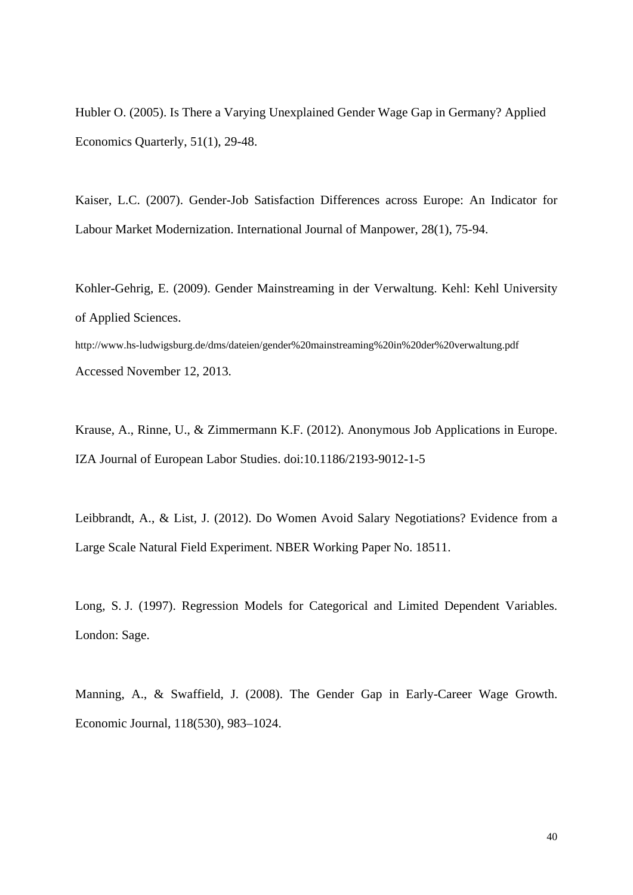Hubler O. (2005). Is There a Varying Unexplained Gender Wage Gap in Germany? Applied Economics Quarterly, 51(1), 29-48.

Kaiser, L.C. (2007). Gender-Job Satisfaction Differences across Europe: An Indicator for Labour Market Modernization. International Journal of Manpower, 28(1), 75-94.

Kohler-Gehrig, E. (2009). Gender Mainstreaming in der Verwaltung. Kehl: Kehl University of Applied Sciences. http://www.hs-ludwigsburg.de/dms/dateien/gender%20mainstreaming%20in%20der%20verwaltung.pdf Accessed November 12, 2013.

Krause, A., Rinne, U., & Zimmermann K.F. (2012). Anonymous Job Applications in Europe. IZA Journal of European Labor Studies. doi:10.1186/2193-9012-1-5

Leibbrandt, A., & List, J. (2012). Do Women Avoid Salary Negotiations? Evidence from a Large Scale Natural Field Experiment. NBER Working Paper No. 18511.

Long, S. J. (1997). Regression Models for Categorical and Limited Dependent Variables. London: Sage.

Manning, A., & Swaffield, J. (2008). The Gender Gap in Early-Career Wage Growth. Economic Journal, 118(530), 983–1024.